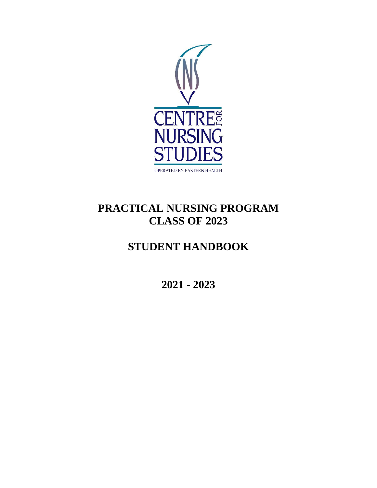

# **PRACTICAL NURSING PROGRAM CLASS OF 2023**

# **STUDENT HANDBOOK**

**2021 - 2023**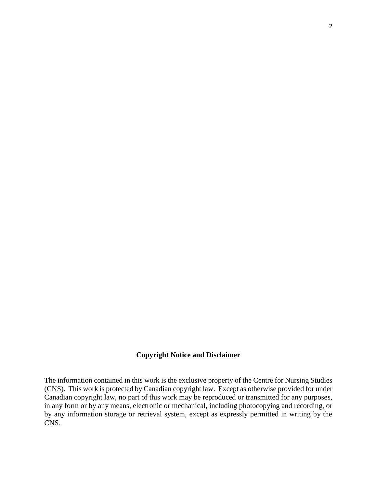# **Copyright Notice and Disclaimer**

The information contained in this work is the exclusive property of the Centre for Nursing Studies (CNS). This work is protected by Canadian copyright law. Except as otherwise provided for under Canadian copyright law, no part of this work may be reproduced or transmitted for any purposes, in any form or by any means, electronic or mechanical, including photocopying and recording, or by any information storage or retrieval system, except as expressly permitted in writing by the CNS.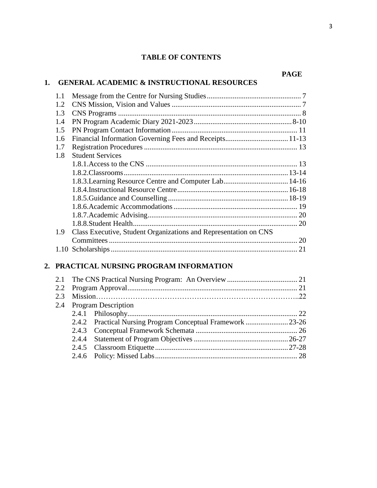#### **PAGE**

#### **1. GENERAL ACADEMIC & INSTRUCTIONAL RESOURCES**

| 1.1 |                                                                  |  |
|-----|------------------------------------------------------------------|--|
| 1.2 |                                                                  |  |
| 1.3 |                                                                  |  |
| 1.4 |                                                                  |  |
| 1.5 |                                                                  |  |
| 1.6 |                                                                  |  |
| 1.7 |                                                                  |  |
| 1.8 | <b>Student Services</b>                                          |  |
|     |                                                                  |  |
|     |                                                                  |  |
|     |                                                                  |  |
|     |                                                                  |  |
|     |                                                                  |  |
|     |                                                                  |  |
|     |                                                                  |  |
|     | 1.8.8. Student Health                                            |  |
| 1.9 | Class Executive, Student Organizations and Representation on CNS |  |
|     |                                                                  |  |
|     |                                                                  |  |
|     |                                                                  |  |

# **2. PRACTICAL NURSING PROGRAM INFORMATION**

|  | 2.4 Program Description                                     |  |
|--|-------------------------------------------------------------|--|
|  |                                                             |  |
|  | 2.4.2 Practical Nursing Program Conceptual Framework  23-26 |  |
|  |                                                             |  |
|  |                                                             |  |
|  |                                                             |  |
|  |                                                             |  |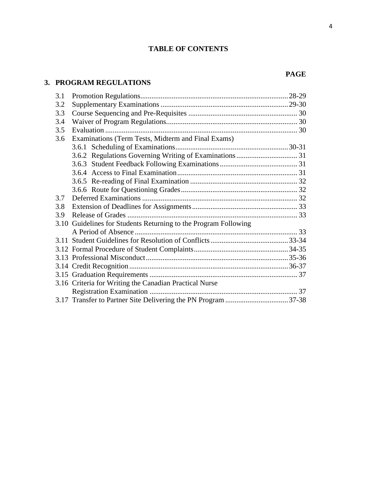# **3. PROGRAM REGULATIONS**

| 3.1 |                                                                 |  |
|-----|-----------------------------------------------------------------|--|
| 3.2 |                                                                 |  |
| 3.3 |                                                                 |  |
| 3.4 |                                                                 |  |
| 3.5 |                                                                 |  |
| 3.6 | Examinations (Term Tests, Midterm and Final Exams)              |  |
|     |                                                                 |  |
|     |                                                                 |  |
|     |                                                                 |  |
|     |                                                                 |  |
|     |                                                                 |  |
|     |                                                                 |  |
| 3.7 |                                                                 |  |
| 3.8 |                                                                 |  |
| 3.9 |                                                                 |  |
|     | 3.10 Guidelines for Students Returning to the Program Following |  |
|     |                                                                 |  |
|     |                                                                 |  |
|     |                                                                 |  |
|     |                                                                 |  |
|     |                                                                 |  |
|     |                                                                 |  |
|     | 3.16 Criteria for Writing the Canadian Practical Nurse          |  |
|     |                                                                 |  |
|     |                                                                 |  |

# **PAGE**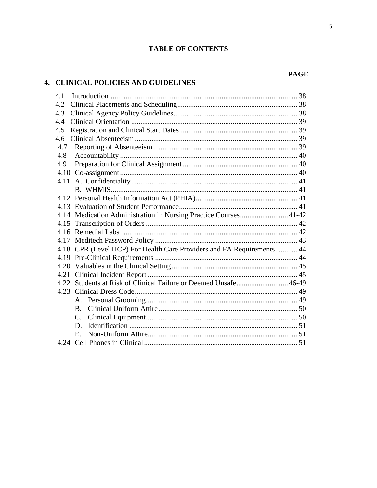# 4. CLINICAL POLICIES AND GUIDELINES

| 4.1  |                                                                  |  |
|------|------------------------------------------------------------------|--|
| 4.2  |                                                                  |  |
| 4.3  |                                                                  |  |
| 4.4  |                                                                  |  |
| 4.5  |                                                                  |  |
| 4.6  |                                                                  |  |
| 4.7  |                                                                  |  |
| 4.8  |                                                                  |  |
| 4.9  |                                                                  |  |
|      |                                                                  |  |
|      |                                                                  |  |
|      |                                                                  |  |
|      |                                                                  |  |
|      |                                                                  |  |
|      | 4.14 Medication Administration in Nursing Practice Courses 41-42 |  |
|      |                                                                  |  |
|      |                                                                  |  |
|      |                                                                  |  |
| 4.18 | CPR (Level HCP) For Health Care Providers and FA Requirements 44 |  |
|      |                                                                  |  |
|      |                                                                  |  |
| 4.21 |                                                                  |  |
|      | 4.22 Students at Risk of Clinical Failure or Deemed Unsafe 46-49 |  |
|      |                                                                  |  |
|      | $A_{-}$                                                          |  |
|      | $B_{\cdot}$                                                      |  |
|      | C.                                                               |  |
|      | D.                                                               |  |
|      | $E_{\rm c}$                                                      |  |
|      |                                                                  |  |

#### **PAGE**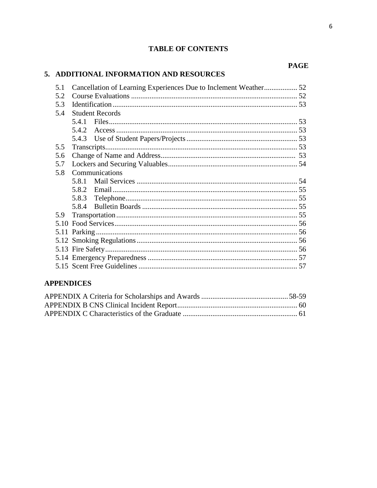# 5. ADDITIONAL INFORMATION AND RESOURCES

| 5.1 | Cancellation of Learning Experiences Due to Inclement Weather 52 |  |
|-----|------------------------------------------------------------------|--|
| 5.2 |                                                                  |  |
| 5.3 |                                                                  |  |
| 5.4 | <b>Student Records</b>                                           |  |
|     |                                                                  |  |
|     |                                                                  |  |
|     |                                                                  |  |
| 5.5 |                                                                  |  |
| 5.6 |                                                                  |  |
| 5.7 |                                                                  |  |
| 5.8 | Communications                                                   |  |
|     | 5.8.1                                                            |  |
|     | 5.8.2                                                            |  |
|     | 5.8.3                                                            |  |
|     | 5.8.4                                                            |  |
| 5.9 |                                                                  |  |
|     |                                                                  |  |
|     |                                                                  |  |
|     |                                                                  |  |
|     |                                                                  |  |
|     |                                                                  |  |
|     |                                                                  |  |

# **APPENDICES**

#### **PAGE**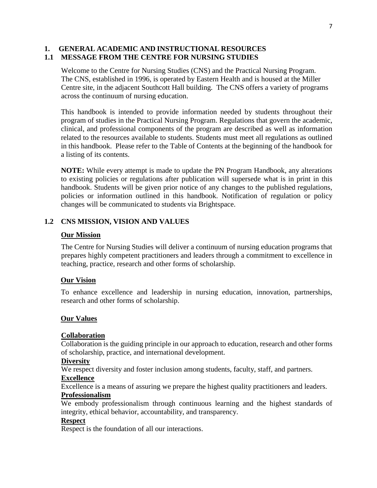#### **1. GENERAL ACADEMIC AND INSTRUCTIONAL RESOURCES 1.1 MESSAGE FROM THE CENTRE FOR NURSING STUDIES**

Welcome to the Centre for Nursing Studies (CNS) and the Practical Nursing Program. The CNS, established in 1996, is operated by Eastern Health and is housed at the Miller Centre site, in the adjacent Southcott Hall building. The CNS offers a variety of programs across the continuum of nursing education.

 This handbook is intended to provide information needed by students throughout their program of studies in the Practical Nursing Program. Regulations that govern the academic, clinical, and professional components of the program are described as well as information related to the resources available to students. Students must meet all regulations as outlined in this handbook. Please refer to the Table of Contents at the beginning of the handbook for a listing of its contents.

**NOTE:** While every attempt is made to update the PN Program Handbook, any alterations to existing policies or regulations after publication will supersede what is in print in this handbook. Students will be given prior notice of any changes to the published regulations, policies or information outlined in this handbook. Notification of regulation or policy changes will be communicated to students via Brightspace.

#### **1.2 CNS MISSION, VISION AND VALUES**

#### **Our Mission**

The Centre for Nursing Studies will deliver a continuum of nursing education programs that prepares highly competent practitioners and leaders through a commitment to excellence in teaching, practice, research and other forms of scholarship.

#### **Our Vision**

To enhance excellence and leadership in nursing education, innovation, partnerships, research and other forms of scholarship.

#### **Our Values**

#### **Collaboration**

Collaboration is the guiding principle in our approach to education, research and other forms of scholarship, practice, and international development.

#### **Diversity**

We respect diversity and foster inclusion among students, faculty, staff, and partners.

#### **Excellence**

Excellence is a means of assuring we prepare the highest quality practitioners and leaders.

#### **Professionalism**

We embody professionalism through continuous learning and the highest standards of integrity, ethical behavior, accountability, and transparency.

#### **Respect**

Respect is the foundation of all our interactions.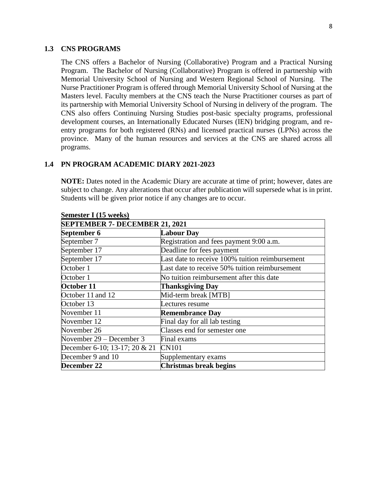#### **1.3 CNS PROGRAMS**

The CNS offers a Bachelor of Nursing (Collaborative) Program and a Practical Nursing Program. The Bachelor of Nursing (Collaborative) Program is offered in partnership with Memorial University School of Nursing and Western Regional School of Nursing. The Nurse Practitioner Program is offered through Memorial University School of Nursing at the Masters level. Faculty members at the CNS teach the Nurse Practitioner courses as part of its partnership with Memorial University School of Nursing in delivery of the program. The CNS also offers Continuing Nursing Studies post-basic specialty programs, professional development courses, an Internationally Educated Nurses (IEN) bridging program, and reentry programs for both registered (RNs) and licensed practical nurses (LPNs) across the province. Many of the human resources and services at the CNS are shared across all programs.

#### **1.4 PN PROGRAM ACADEMIC DIARY 2021-2023**

**NOTE:** Dates noted in the Academic Diary are accurate at time of print; however, dates are subject to change. Any alterations that occur after publication will supersede what is in print. Students will be given prior notice if any changes are to occur.

| $S$ emestel 1 (15 weeks)              |                                                 |  |
|---------------------------------------|-------------------------------------------------|--|
| <b>SEPTEMBER 7- DECEMBER 21, 2021</b> |                                                 |  |
| September 6                           | <b>Labour Day</b>                               |  |
| September 7                           | Registration and fees payment 9:00 a.m.         |  |
| September 17                          | Deadline for fees payment                       |  |
| September 17                          | Last date to receive 100% tuition reimbursement |  |
| October 1                             | Last date to receive 50% tuition reimbursement  |  |
| October 1                             | No tuition reimbursement after this date        |  |
| October 11                            | <b>Thanksgiving Day</b>                         |  |
| October 11 and 12                     | Mid-term break [MTB]                            |  |
| October 13                            | Lectures resume                                 |  |
| November 11                           | <b>Remembrance Day</b>                          |  |
| November 12                           | Final day for all lab testing                   |  |
| November 26                           | Classes end for semester one                    |  |
| November 29 – December 3              | Final exams                                     |  |
| December 6-10; 13-17; 20 & 21         | <b>CN101</b>                                    |  |
| December 9 and 10                     | Supplementary exams                             |  |
| December 22                           | <b>Christmas break begins</b>                   |  |

# **Semester I (15 weeks)**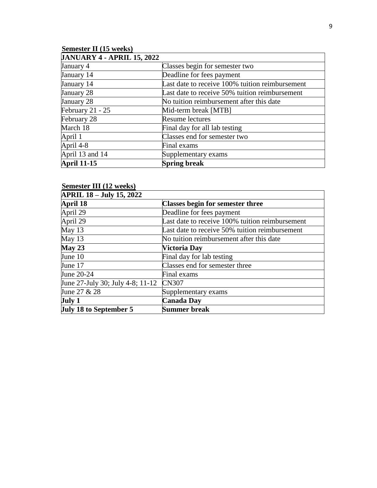# **Semester II (15 weeks)**

| <b>JANUARY 4 - APRIL 15, 2022</b> |                                                 |  |
|-----------------------------------|-------------------------------------------------|--|
| January 4                         | Classes begin for semester two                  |  |
| January 14                        | Deadline for fees payment                       |  |
| January 14                        | Last date to receive 100% tuition reimbursement |  |
| January 28                        | Last date to receive 50% tuition reimbursement  |  |
| January 28                        | No tuition reimbursement after this date        |  |
| February 21 - 25                  | Mid-term break [MTB]                            |  |
| February 28                       | <b>Resume lectures</b>                          |  |
| March 18                          | Final day for all lab testing                   |  |
| April 1                           | Classes end for semester two                    |  |
| April 4-8                         | Final exams                                     |  |
| April 13 and 14                   | Supplementary exams                             |  |
| <b>April 11-15</b>                | <b>Spring break</b>                             |  |

#### **Semester III (12 weeks)**

| <b>APRIL 18 – July 15, 2022</b>  |                                                 |  |
|----------------------------------|-------------------------------------------------|--|
| <b>April 18</b>                  | <b>Classes begin for semester three</b>         |  |
| April 29                         | Deadline for fees payment                       |  |
| April 29                         | Last date to receive 100% tuition reimbursement |  |
| May 13                           | Last date to receive 50% tuition reimbursement  |  |
| May 13                           | No tuition reimbursement after this date        |  |
| May 23                           | Victoria Day                                    |  |
| June 10                          | Final day for lab testing                       |  |
| June 17                          | Classes end for semester three                  |  |
| June 20-24                       | Final exams                                     |  |
| June 27-July 30; July 4-8; 11-12 | <b>CN307</b>                                    |  |
| June 27 & 28                     | Supplementary exams                             |  |
| July 1                           | <b>Canada Day</b>                               |  |
| <b>July 18 to September 5</b>    | <b>Summer break</b>                             |  |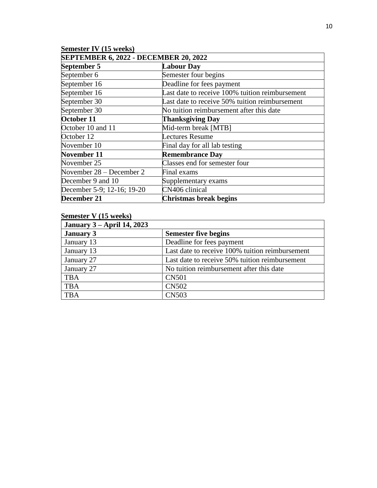| <b>Semester IV (15 weeks)</b>         |                                                 |  |  |
|---------------------------------------|-------------------------------------------------|--|--|
| SEPTEMBER 6, 2022 - DECEMBER 20, 2022 |                                                 |  |  |
| September 5                           | <b>Labour Day</b>                               |  |  |
| September 6                           | Semester four begins                            |  |  |
| September 16                          | Deadline for fees payment                       |  |  |
| September 16                          | Last date to receive 100% tuition reimbursement |  |  |
| September 30                          | Last date to receive 50% tuition reimbursement  |  |  |
| September 30                          | No tuition reimbursement after this date        |  |  |
| October 11                            | <b>Thanksgiving Day</b>                         |  |  |
| October 10 and 11                     | Mid-term break [MTB]                            |  |  |
| October 12                            | Lectures Resume                                 |  |  |
| November 10                           | Final day for all lab testing                   |  |  |
| November 11                           | <b>Remembrance Day</b>                          |  |  |
| November 25                           | Classes end for semester four                   |  |  |
| November 28 – December 2              | Final exams                                     |  |  |
| December 9 and 10                     | Supplementary exams                             |  |  |
| December 5-9; 12-16; 19-20            | CN406 clinical                                  |  |  |
| December 21                           | Christmas break begins                          |  |  |

# **Semester V (15 weeks)**

| <b>January 3 – April 14, 2023</b> |                                                 |
|-----------------------------------|-------------------------------------------------|
| <b>January 3</b>                  | <b>Semester five begins</b>                     |
| January 13                        | Deadline for fees payment                       |
| January 13                        | Last date to receive 100% tuition reimbursement |
| January 27                        | Last date to receive 50% tuition reimbursement  |
| January 27                        | No tuition reimbursement after this date        |
| <b>TBA</b>                        | <b>CN501</b>                                    |
| <b>TBA</b>                        | <b>CN502</b>                                    |
| <b>TBA</b>                        | <b>CN503</b>                                    |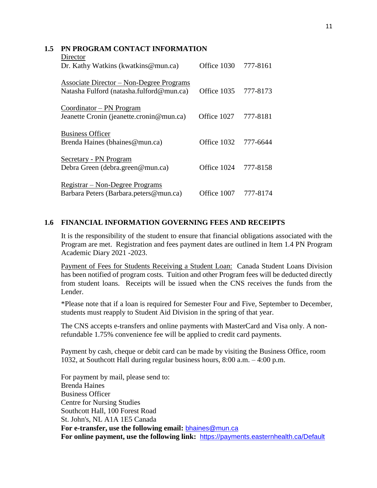#### **1.5 PN PROGRAM CONTACT INFORMATION**

| Director                                                  |                      |          |
|-----------------------------------------------------------|----------------------|----------|
| Dr. Kathy Watkins (kwatkins@mun.ca)                       | Office 1030 777-8161 |          |
| <b>Associate Director – Non-Degree Programs</b>           |                      |          |
| Natasha Fulford (natasha.fulford@mun.ca)                  | Office 1035 777-8173 |          |
| Coordinator – PN Program                                  |                      |          |
| Jeanette Cronin (jeanette.cronin@mun.ca)                  | Office 1027          | 777-8181 |
|                                                           |                      |          |
| <b>Business Officer</b><br>Brenda Haines (bhaines@mun.ca) | Office 1032 777-6644 |          |
|                                                           |                      |          |
| Secretary - PN Program                                    |                      |          |
| Debra Green (debra.green@mun.ca)                          | Office 1024          | 777-8158 |
| Registrar – Non-Degree Programs                           |                      |          |
| Barbara Peters (Barbara.peters@mun.ca)                    | Office 1007          | 777-8174 |
|                                                           |                      |          |

#### **1.6 FINANCIAL INFORMATION GOVERNING FEES AND RECEIPTS**

It is the responsibility of the student to ensure that financial obligations associated with the Program are met. Registration and fees payment dates are outlined in Item 1.4 PN Program Academic Diary 2021 -2023.

Payment of Fees for Students Receiving a Student Loan: Canada Student Loans Division has been notified of program costs. Tuition and other Program fees will be deducted directly from student loans. Receipts will be issued when the CNS receives the funds from the Lender.

\*Please note that if a loan is required for Semester Four and Five, September to December, students must reapply to Student Aid Division in the spring of that year.

The CNS accepts e-transfers and online payments with MasterCard and Visa only. A nonrefundable 1.75% convenience fee will be applied to credit card payments.

Payment by cash, cheque or debit card can be made by visiting the Business Office, room 1032, at Southcott Hall during regular business hours, 8:00 a.m. – 4:00 p.m.

 For payment by mail, please send to: Brenda Haines Business Officer Centre for Nursing Studies Southcott Hall, 100 Forest Road St. John's, NL A1A 1E5 Canada **For e-transfer, use the following email:** [bhaines@mun.ca](mailto:bhaines@mun.ca) **For online payment, use the following link:** [https://payments.](https://payments/)easternhealth.ca/Default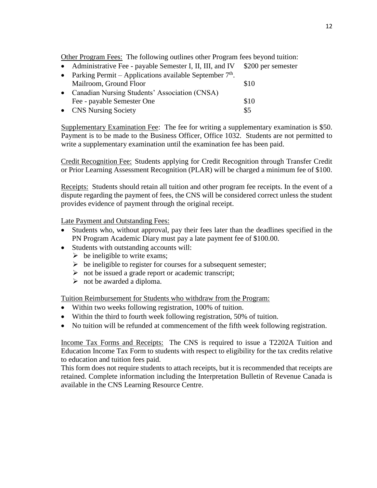Other Program Fees: The following outlines other Program fees beyond tuition:

• Administrative Fee - payable Semester I, II, III, and IV \$200 per semester

| $\bullet$ | Parking Permit – Applications available September $7th$ . |      |  |
|-----------|-----------------------------------------------------------|------|--|
|           | Mailroom, Ground Floor                                    | \$10 |  |
|           | • Canadian Nursing Students' Association (CNSA)           |      |  |
|           | Fee - payable Semester One                                | \$10 |  |
|           | • CNS Nursing Society                                     | \$5  |  |

Supplementary Examination Fee: The fee for writing a supplementary examination is \$50. Payment is to be made to the Business Officer, Office 1032. Students are not permitted to write a supplementary examination until the examination fee has been paid.

Credit Recognition Fee: Students applying for Credit Recognition through Transfer Credit or Prior Learning Assessment Recognition (PLAR) will be charged a minimum fee of \$100.

Receipts: Students should retain all tuition and other program fee receipts. In the event of a dispute regarding the payment of fees, the CNS will be considered correct unless the student provides evidence of payment through the original receipt.

Late Payment and Outstanding Fees:

- Students who, without approval, pay their fees later than the deadlines specified in the PN Program Academic Diary must pay a late payment fee of \$100.00.
- Students with outstanding accounts will:
	- $\triangleright$  be ineligible to write exams;
	- $\triangleright$  be ineligible to register for courses for a subsequent semester;
	- $\triangleright$  not be issued a grade report or academic transcript;
	- $\triangleright$  not be awarded a diploma.

Tuition Reimbursement for Students who withdraw from the Program:

- Within two weeks following registration, 100% of tuition.
- Within the third to fourth week following registration, 50% of tuition.
- No tuition will be refunded at commencement of the fifth week following registration.

Income Tax Forms and Receipts: The CNS is required to issue a T2202A Tuition and Education Income Tax Form to students with respect to eligibility for the tax credits relative to education and tuition fees paid.

This form does not require students to attach receipts, but it is recommended that receipts are retained. Complete information including the Interpretation Bulletin of Revenue Canada is available in the CNS Learning Resource Centre.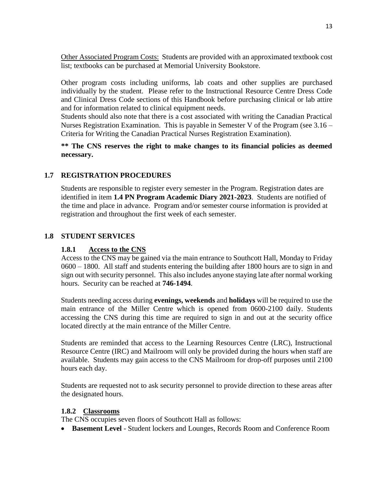Other Associated Program Costs: Students are provided with an approximated textbook cost list; textbooks can be purchased at Memorial University Bookstore.

Other program costs including uniforms, lab coats and other supplies are purchased individually by the student. Please refer to the Instructional Resource Centre Dress Code and Clinical Dress Code sections of this Handbook before purchasing clinical or lab attire and for information related to clinical equipment needs.

Students should also note that there is a cost associated with writing the Canadian Practical Nurses Registration Examination. This is payable in Semester V of the Program (see 3.16 – Criteria for Writing the Canadian Practical Nurses Registration Examination).

**\*\* The CNS reserves the right to make changes to its financial policies as deemed necessary.** 

# **1.7 REGISTRATION PROCEDURES**

Students are responsible to register every semester in the Program. Registration dates are identified in item **1.4 PN Program Academic Diary 2021-2023**. Students are notified of the time and place in advance. Program and/or semester course information is provided at registration and throughout the first week of each semester.

#### **1.8 STUDENT SERVICES**

#### **1.8.1 Access to the CNS**

Access to the CNS may be gained via the main entrance to Southcott Hall, Monday to Friday 0600 – 1800. All staff and students entering the building after 1800 hours are to sign in and sign out with security personnel. This also includes anyone staying late after normal working hours. Security can be reached at **746-1494**.

Students needing access during **evenings, weekends** and **holidays** will be required to use the main entrance of the Miller Centre which is opened from 0600-2100 daily. Students accessing the CNS during this time are required to sign in and out at the security office located directly at the main entrance of the Miller Centre.

Students are reminded that access to the Learning Resources Centre (LRC), Instructional Resource Centre (IRC) and Mailroom will only be provided during the hours when staff are available. Students may gain access to the CNS Mailroom for drop-off purposes until 2100 hours each day.

Students are requested not to ask security personnel to provide direction to these areas after the designated hours.

#### **1.8.2 Classrooms**

The CNS occupies seven floors of Southcott Hall as follows:

**Basement Level** - Student lockers and Lounges, Records Room and Conference Room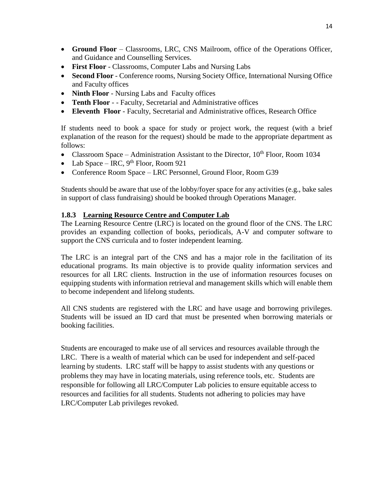- **Ground Floor** Classrooms, LRC, CNS Mailroom, office of the Operations Officer, and Guidance and Counselling Services.
- **First Floor** Classrooms, Computer Labs and Nursing Labs
- **Second Floor** Conference rooms, Nursing Society Office, International Nursing Office and Faculty offices
- **Ninth Floor** Nursing Labs and Faculty offices
- **Tenth Floor** - Faculty, Secretarial and Administrative offices
- **Eleventh Floor** Faculty, Secretarial and Administrative offices, Research Office

If students need to book a space for study or project work, the request (with a brief explanation of the reason for the request) should be made to the appropriate department as follows:

- Classroom Space Administration Assistant to the Director,  $10^{th}$  Floor, Room 1034
- Lab Space IRC,  $9<sup>th</sup>$  Floor, Room 921
- Conference Room Space LRC Personnel, Ground Floor, Room G39

Students should be aware that use of the lobby/foyer space for any activities (e.g., bake sales in support of class fundraising) should be booked through Operations Manager.

# **1.8.3 Learning Resource Centre and Computer Lab**

The Learning Resource Centre (LRC) is located on the ground floor of the CNS. The LRC provides an expanding collection of books, periodicals, A-V and computer software to support the CNS curricula and to foster independent learning.

The LRC is an integral part of the CNS and has a major role in the facilitation of its educational programs. Its main objective is to provide quality information services and resources for all LRC clients. Instruction in the use of information resources focuses on equipping students with information retrieval and management skills which will enable them to become independent and lifelong students.

All CNS students are registered with the LRC and have usage and borrowing privileges. Students will be issued an ID card that must be presented when borrowing materials or booking facilities.

Students are encouraged to make use of all services and resources available through the LRC. There is a wealth of material which can be used for independent and self-paced learning by students. LRC staff will be happy to assist students with any questions or problems they may have in locating materials, using reference tools, etc. Students are responsible for following all LRC/Computer Lab policies to ensure equitable access to resources and facilities for all students. Students not adhering to policies may have LRC/Computer Lab privileges revoked.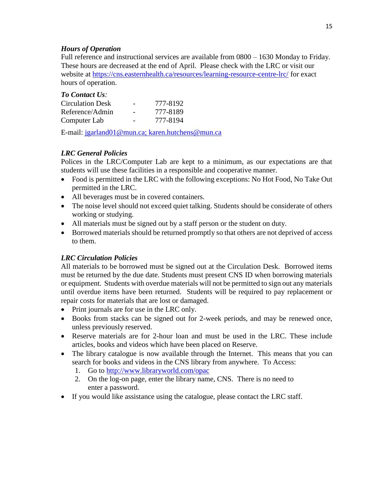#### *Hours of Operation*

Full reference and instructional services are available from 0800 – 1630 Monday to Friday. These hours are decreased at the end of April. Please check with the LRC or visit our website at <https://cns.easternhealth.ca/resources/learning-resource-centre-lrc/> for exact hours of operation.

| <b>To Contact Us:</b>   |          |
|-------------------------|----------|
| <b>Circulation Desk</b> | 777-8192 |
| Reference/Admin         | 777-8189 |
| Computer Lab            | 777-8194 |

E-mail: [jgarland01@mun.ca;](mailto:jgarland01@mun.ca) [karen.hutchens@mun.ca](mailto:karen.hutchens@mun.ca)

#### *LRC General Policies*

Polices in the LRC/Computer Lab are kept to a minimum, as our expectations are that students will use these facilities in a responsible and cooperative manner.

- Food is permitted in the LRC with the following exceptions: No Hot Food, No Take Out permitted in the LRC.
- All beverages must be in covered containers.
- The noise level should not exceed quiet talking. Students should be considerate of others working or studying.
- All materials must be signed out by a staff person or the student on duty.
- Borrowed materials should be returned promptly so that others are not deprived of access to them.

# *LRC Circulation Policies*

All materials to be borrowed must be signed out at the Circulation Desk. Borrowed items must be returned by the due date. Students must present CNS ID when borrowing materials or equipment. Students with overdue materials will not be permitted to sign out any materials until overdue items have been returned. Students will be required to pay replacement or repair costs for materials that are lost or damaged.

- Print journals are for use in the LRC only.
- Books from stacks can be signed out for 2-week periods, and may be renewed once, unless previously reserved.
- Reserve materials are for 2-hour loan and must be used in the LRC. These include articles, books and videos which have been placed on Reserve.
- The library catalogue is now available through the Internet. This means that you can search for books and videos in the CNS library from anywhere. To Access:
	- 1. Go to<http://www.libraryworld.com/opac>
	- 2. On the log-on page, enter the library name, CNS. There is no need to enter a password.
- If you would like assistance using the catalogue, please contact the LRC staff.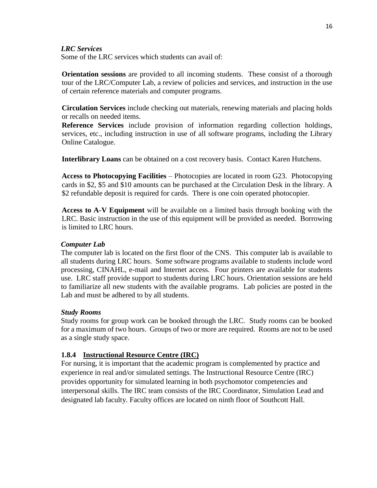#### *LRC Services*

Some of the LRC services which students can avail of:

**Orientation sessions** are provided to all incoming students. These consist of a thorough tour of the LRC/Computer Lab, a review of policies and services, and instruction in the use of certain reference materials and computer programs.

**Circulation Services** include checking out materials, renewing materials and placing holds or recalls on needed items.

**Reference Services** include provision of information regarding collection holdings, services, etc., including instruction in use of all software programs, including the Library Online Catalogue.

**Interlibrary Loans** can be obtained on a cost recovery basis. Contact Karen Hutchens.

**Access to Photocopying Facilities** – Photocopies are located in room G23. Photocopying cards in \$2, \$5 and \$10 amounts can be purchased at the Circulation Desk in the library. A \$2 refundable deposit is required for cards. There is one coin operated photocopier.

**Access to A-V Equipment** will be available on a limited basis through booking with the LRC. Basic instruction in the use of this equipment will be provided as needed. Borrowing is limited to LRC hours.

#### *Computer Lab*

The computer lab is located on the first floor of the CNS. This computer lab is available to all students during LRC hours. Some software programs available to students include word processing, CINAHL, e-mail and Internet access. Four printers are available for students use. LRC staff provide support to students during LRC hours. Orientation sessions are held to familiarize all new students with the available programs. Lab policies are posted in the Lab and must be adhered to by all students.

#### *Study Rooms*

Study rooms for group work can be booked through the LRC. Study rooms can be booked for a maximum of two hours. Groups of two or more are required. Rooms are not to be used as a single study space.

#### **1.8.4 Instructional Resource Centre (IRC)**

For nursing, it is important that the academic program is complemented by practice and experience in real and/or simulated settings. The Instructional Resource Centre (IRC) provides opportunity for simulated learning in both psychomotor competencies and interpersonal skills. The IRC team consists of the IRC Coordinator, Simulation Lead and designated lab faculty. Faculty offices are located on ninth floor of Southcott Hall.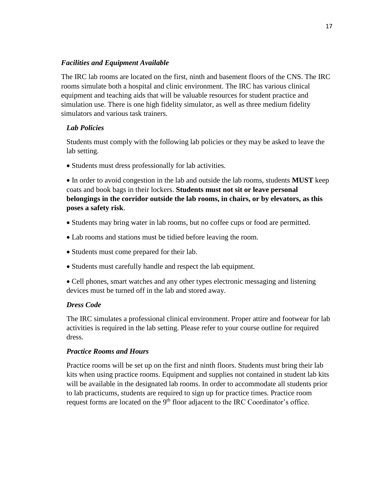#### *Facilities and Equipment Available*

The IRC lab rooms are located on the first, ninth and basement floors of the CNS. The IRC rooms simulate both a hospital and clinic environment. The IRC has various clinical equipment and teaching aids that will be valuable resources for student practice and simulation use. There is one high fidelity simulator, as well as three medium fidelity simulators and various task trainers.

# *Lab Policies*

Students must comply with the following lab policies or they may be asked to leave the lab setting.

• Students must dress professionally for lab activities.

 In order to avoid congestion in the lab and outside the lab rooms, students **MUST** keep coats and book bags in their lockers. **Students must not sit or leave personal belongings in the corridor outside the lab rooms, in chairs, or by elevators, as this poses a safety risk**.

- Students may bring water in lab rooms, but no coffee cups or food are permitted.
- Lab rooms and stations must be tidied before leaving the room.
- Students must come prepared for their lab.
- Students must carefully handle and respect the lab equipment.

 Cell phones, smart watches and any other types electronic messaging and listening devices must be turned off in the lab and stored away.

# *Dress Code*

The IRC simulates a professional clinical environment. Proper attire and footwear for lab activities is required in the lab setting. Please refer to your course outline for required dress.

# *Practice Rooms and Hours*

Practice rooms will be set up on the first and ninth floors. Students must bring their lab kits when using practice rooms. Equipment and supplies not contained in student lab kits will be available in the designated lab rooms. In order to accommodate all students prior to lab practicums, students are required to sign up for practice times. Practice room request forms are located on the  $9<sup>th</sup>$  floor adjacent to the IRC Coordinator's office.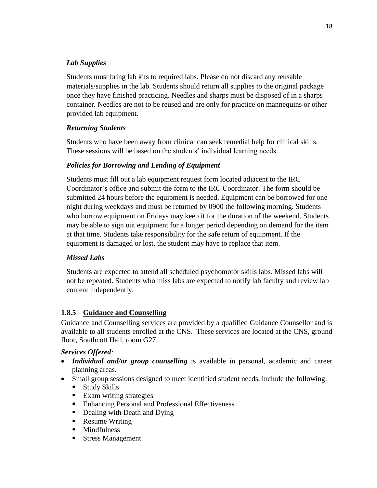# *Lab Supplies*

Students must bring lab kits to required labs. Please do not discard any reusable materials/supplies in the lab. Students should return all supplies to the original package once they have finished practicing. Needles and sharps must be disposed of in a sharps container. Needles are not to be reused and are only for practice on mannequins or other provided lab equipment.

# *Returning Students*

Students who have been away from clinical can seek remedial help for clinical skills. These sessions will be based on the students' individual learning needs.

# *Policies for Borrowing and Lending of Equipment*

Students must fill out a lab equipment request form located adjacent to the IRC Coordinator's office and submit the form to the IRC Coordinator. The form should be submitted 24 hours before the equipment is needed. Equipment can be borrowed for one night during weekdays and must be returned by 0900 the following morning. Students who borrow equipment on Fridays may keep it for the duration of the weekend. Students may be able to sign out equipment for a longer period depending on demand for the item at that time. Students take responsibility for the safe return of equipment. If the equipment is damaged or lost, the student may have to replace that item.

# *Missed Labs*

Students are expected to attend all scheduled psychomotor skills labs. Missed labs will not be repeated. Students who miss labs are expected to notify lab faculty and review lab content independently.

# **1.8.5 Guidance and Counselling**

Guidance and Counselling services are provided by a qualified Guidance Counsellor and is available to all students enrolled at the CNS. These services are located at the CNS, ground floor, Southcott Hall, room G27.

# *Services Offered:*

- *Individual and/or group counselling* is available in personal, academic and career planning areas.
- Small group sessions designed to meet identified student needs, include the following:
	- Study Skills
	- Exam writing strategies
	- Enhancing Personal and Professional Effectiveness
	- Dealing with Death and Dying
	- Resume Writing
	- Mindfulness
	- Stress Management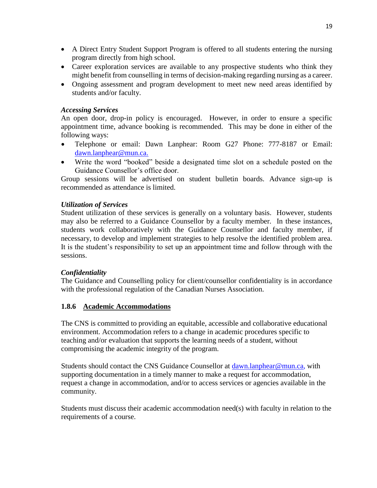- A Direct Entry Student Support Program is offered to all students entering the nursing program directly from high school.
- Career exploration services are available to any prospective students who think they might benefit from counselling in terms of decision-making regarding nursing as a career.
- Ongoing assessment and program development to meet new need areas identified by students and/or faculty.

#### *Accessing Services*

An open door, drop-in policy is encouraged. However, in order to ensure a specific appointment time, advance booking is recommended. This may be done in either of the following ways:

- Telephone or email: Dawn Lanphear: Room G27 Phone: 777-8187 or Email: dawn.lanphear@mun.ca.
- Write the word "booked" beside a designated time slot on a schedule posted on the Guidance Counsellor's office door.

Group sessions will be advertised on student bulletin boards. Advance sign-up is recommended as attendance is limited.

# *Utilization of Services*

Student utilization of these services is generally on a voluntary basis. However, students may also be referred to a Guidance Counsellor by a faculty member. In these instances, students work collaboratively with the Guidance Counsellor and faculty member, if necessary, to develop and implement strategies to help resolve the identified problem area. It is the student's responsibility to set up an appointment time and follow through with the sessions.

# *Confidentiality*

The Guidance and Counselling policy for client/counsellor confidentiality is in accordance with the professional regulation of the Canadian Nurses Association.

# **1.8.6 Academic Accommodations**

The CNS is committed to providing an equitable, accessible and collaborative educational environment. Accommodation refers to a change in academic procedures specific to teaching and/or evaluation that supports the learning needs of a student, without compromising the academic integrity of the program.

Students should contact the CNS Guidance Counsellor at [dawn.lanphear@mun.ca,](mailto:dawn.lanphear@mun.ca) with supporting documentation in a timely manner to make a request for accommodation, request a change in accommodation, and/or to access services or agencies available in the community.

Students must discuss their academic accommodation need(s) with faculty in relation to the requirements of a course.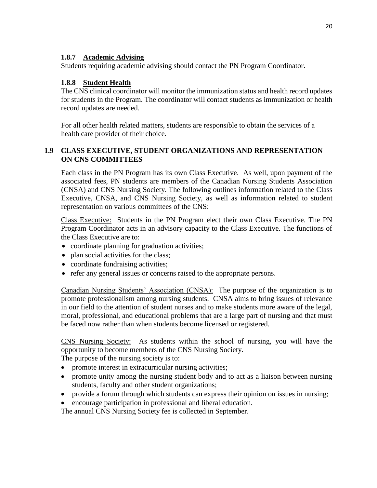#### **1.8.7 Academic Advising**

Students requiring academic advising should contact the PN Program Coordinator.

#### **1.8.8 Student Health**

The CNS clinical coordinator will monitor the immunization status and health record updates for students in the Program. The coordinator will contact students as immunization or health record updates are needed.

For all other health related matters, students are responsible to obtain the services of a health care provider of their choice.

#### **1.9 CLASS EXECUTIVE, STUDENT ORGANIZATIONS AND REPRESENTATION ON CNS COMMITTEES**

Each class in the PN Program has its own Class Executive. As well, upon payment of the associated fees, PN students are members of the Canadian Nursing Students Association (CNSA) and CNS Nursing Society. The following outlines information related to the Class Executive, CNSA, and CNS Nursing Society, as well as information related to student representation on various committees of the CNS:

Class Executive: Students in the PN Program elect their own Class Executive. The PN Program Coordinator acts in an advisory capacity to the Class Executive. The functions of the Class Executive are to:

- coordinate planning for graduation activities;
- plan social activities for the class;
- coordinate fundraising activities;
- refer any general issues or concerns raised to the appropriate persons.

Canadian Nursing Students' Association (CNSA): The purpose of the organization is to promote professionalism among nursing students. CNSA aims to bring issues of relevance in our field to the attention of student nurses and to make students more aware of the legal, moral, professional, and educational problems that are a large part of nursing and that must be faced now rather than when students become licensed or registered.

CNS Nursing Society: As students within the school of nursing, you will have the opportunity to become members of the CNS Nursing Society.

The purpose of the nursing society is to:

- promote interest in extracurricular nursing activities;
- promote unity among the nursing student body and to act as a liaison between nursing students, faculty and other student organizations;
- provide a forum through which students can express their opinion on issues in nursing;
- encourage participation in professional and liberal education.

The annual CNS Nursing Society fee is collected in September.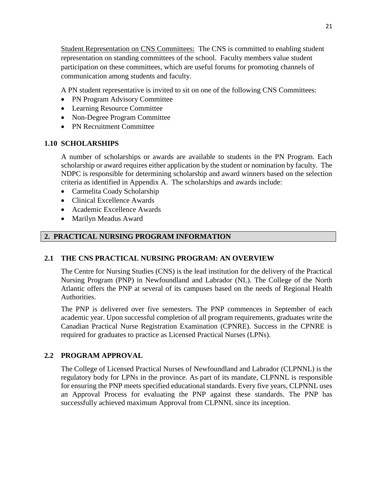Student Representation on CNS Committees: The CNS is committed to enabling student representation on standing committees of the school. Faculty members value student participation on these committees, which are useful forums for promoting channels of communication among students and faculty.

A PN student representative is invited to sit on one of the following CNS Committees:

- PN Program Advisory Committee
- Learning Resource Committee
- Non-Degree Program Committee
- PN Recruitment Committee

#### **1.10 SCHOLARSHIPS**

A number of scholarships or awards are available to students in the PN Program. Each scholarship or award requires either application by the student or nomination by faculty. The NDPC is responsible for determining scholarship and award winners based on the selection criteria as identified in Appendix A. The scholarships and awards include:

- Carmelita Coady Scholarship
- Clinical Excellence Awards
- Academic Excellence Awards
- Marilyn Meadus Award

# **2. PRACTICAL NURSING PROGRAM INFORMATION**

#### **2.1 THE CNS PRACTICAL NURSING PROGRAM: AN OVERVIEW**

The Centre for Nursing Studies (CNS) is the lead institution for the delivery of the Practical Nursing Program (PNP) in Newfoundland and Labrador (NL). The College of the North Atlantic offers the PNP at several of its campuses based on the needs of Regional Health Authorities.

The PNP is delivered over five semesters. The PNP commences in September of each academic year. Upon successful completion of all program requirements, graduates write the Canadian Practical Nurse Registration Examination (CPNRE). Success in the CPNRE is required for graduates to practice as Licensed Practical Nurses (LPNs).

#### **2.2 PROGRAM APPROVAL**

The College of Licensed Practical Nurses of Newfoundland and Labrador (CLPNNL) is the regulatory body for LPNs in the province. As part of its mandate, CLPNNL is responsible for ensuring the PNP meets specified educational standards. Every five years, CLPNNL uses an Approval Process for evaluating the PNP against these standards. The PNP has successfully achieved maximum Approval from CLPNNL since its inception.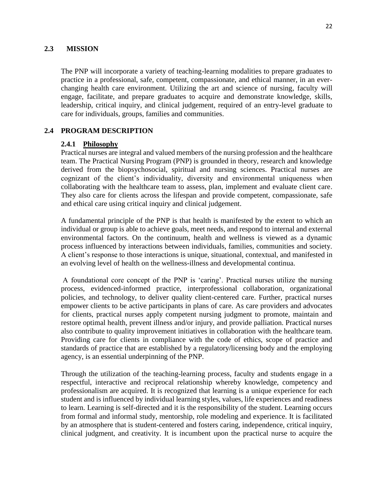# **2.3 MISSION**

The PNP will incorporate a variety of teaching-learning modalities to prepare graduates to practice in a professional, safe, competent, compassionate, and ethical manner, in an everchanging health care environment. Utilizing the art and science of nursing, faculty will engage, facilitate, and prepare graduates to acquire and demonstrate knowledge, skills, leadership, critical inquiry, and clinical judgement, required of an entry-level graduate to care for individuals, groups, families and communities.

#### **2.4 PROGRAM DESCRIPTION**

#### **2.4.1 Philosophy**

Practical nurses are integral and valued members of the nursing profession and the healthcare team. The Practical Nursing Program (PNP) is grounded in theory, research and knowledge derived from the biopsychosocial, spiritual and nursing sciences. Practical nurses are cognizant of the client's individuality, diversity and environmental uniqueness when collaborating with the healthcare team to assess, plan, implement and evaluate client care. They also care for clients across the lifespan and provide competent, compassionate, safe and ethical care using critical inquiry and clinical judgement.

A fundamental principle of the PNP is that health is manifested by the extent to which an individual or group is able to achieve goals, meet needs, and respond to internal and external environmental factors. On the continuum, health and wellness is viewed as a dynamic process influenced by interactions between individuals, families, communities and society. A client's response to those interactions is unique, situational, contextual, and manifested in an evolving level of health on the wellness-illness and developmental continua.

A foundational core concept of the PNP is 'caring'. Practical nurses utilize the nursing process, evidenced-informed practice, interprofessional collaboration, organizational policies, and technology, to deliver quality client-centered care. Further, practical nurses empower clients to be active participants in plans of care. As care providers and advocates for clients, practical nurses apply competent nursing judgment to promote, maintain and restore optimal health, prevent illness and/or injury, and provide palliation. Practical nurses also contribute to quality improvement initiatives in collaboration with the healthcare team. Providing care for clients in compliance with the code of ethics, scope of practice and standards of practice that are established by a regulatory/licensing body and the employing agency, is an essential underpinning of the PNP.

Through the utilization of the teaching-learning process, faculty and students engage in a respectful, interactive and reciprocal relationship whereby knowledge, competency and professionalism are acquired. It is recognized that learning is a unique experience for each student and is influenced by individual learning styles, values, life experiences and readiness to learn. Learning is self-directed and it is the responsibility of the student. Learning occurs from formal and informal study, mentorship, role modeling and experience. It is facilitated by an atmosphere that is student-centered and fosters caring, independence, critical inquiry, clinical judgment, and creativity. It is incumbent upon the practical nurse to acquire the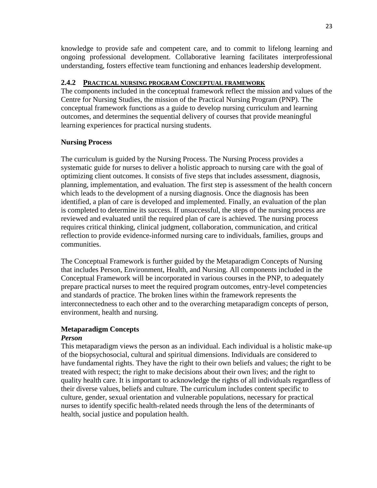knowledge to provide safe and competent care, and to commit to lifelong learning and ongoing professional development. Collaborative learning facilitates interprofessional understanding, fosters effective team functioning and enhances leadership development.

#### **2.4.2 PRACTICAL NURSING PROGRAM CONCEPTUAL FRAMEWORK**

The components included in the conceptual framework reflect the mission and values of the Centre for Nursing Studies, the mission of the Practical Nursing Program (PNP). The conceptual framework functions as a guide to develop nursing curriculum and learning outcomes, and determines the sequential delivery of courses that provide meaningful learning experiences for practical nursing students.

# **Nursing Process**

The curriculum is guided by the Nursing Process. The Nursing Process provides a systematic guide for nurses to deliver a holistic approach to nursing care with the goal of optimizing client outcomes. It consists of five steps that includes assessment, diagnosis, planning, implementation, and evaluation. The first step is assessment of the health concern which leads to the development of a nursing diagnosis. Once the diagnosis has been identified, a plan of care is developed and implemented. Finally, an evaluation of the plan is completed to determine its success. If unsuccessful, the steps of the nursing process are reviewed and evaluated until the required plan of care is achieved. The nursing process requires critical thinking, clinical judgment, collaboration, communication, and critical reflection to provide evidence-informed nursing care to individuals, families, groups and communities.

The Conceptual Framework is further guided by the Metaparadigm Concepts of Nursing that includes Person, Environment, Health, and Nursing. All components included in the Conceptual Framework will be incorporated in various courses in the PNP, to adequately prepare practical nurses to meet the required program outcomes, entry-level competencies and standards of practice. The broken lines within the framework represents the interconnectedness to each other and to the overarching metaparadigm concepts of person, environment, health and nursing.

# **Metaparadigm Concepts**

#### *Person*

This metaparadigm views the person as an individual. Each individual is a holistic make-up of the biopsychosocial, cultural and spiritual dimensions. Individuals are considered to have fundamental rights. They have the right to their own beliefs and values; the right to be treated with respect; the right to make decisions about their own lives; and the right to quality health care. It is important to acknowledge the rights of all individuals regardless of their diverse values, beliefs and culture. The curriculum includes content specific to culture, gender, sexual orientation and vulnerable populations, necessary for practical nurses to identify specific health-related needs through the lens of the determinants of health, social justice and population health.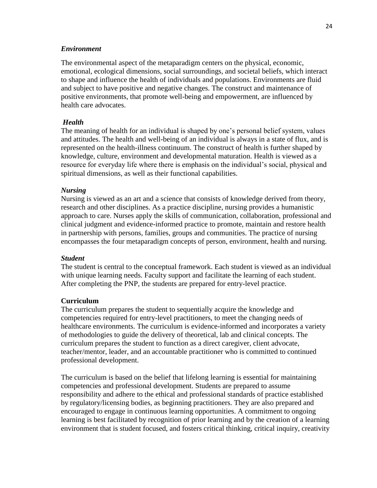#### *Environment*

The environmental aspect of the metaparadigm centers on the physical, economic, emotional, ecological dimensions, social surroundings, and societal beliefs, which interact to shape and influence the health of individuals and populations. Environments are fluid and subject to have positive and negative changes. The construct and maintenance of positive environments, that promote well-being and empowerment, are influenced by health care advocates.

#### *Health*

The meaning of health for an individual is shaped by one's personal belief system, values and attitudes. The health and well-being of an individual is always in a state of flux, and is represented on the health-illness continuum. The construct of health is further shaped by knowledge, culture, environment and developmental maturation. Health is viewed as a resource for everyday life where there is emphasis on the individual's social, physical and spiritual dimensions, as well as their functional capabilities.

#### *Nursing*

Nursing is viewed as an art and a science that consists of knowledge derived from theory, research and other disciplines. As a practice discipline, nursing provides a humanistic approach to care. Nurses apply the skills of communication, collaboration, professional and clinical judgment and evidence-informed practice to promote, maintain and restore health in partnership with persons, families, groups and communities. The practice of nursing encompasses the four metaparadigm concepts of person, environment, health and nursing.

#### *Student*

The student is central to the conceptual framework. Each student is viewed as an individual with unique learning needs. Faculty support and facilitate the learning of each student. After completing the PNP, the students are prepared for entry-level practice.

#### **Curriculum**

The curriculum prepares the student to sequentially acquire the knowledge and competencies required for entry-level practitioners, to meet the changing needs of healthcare environments. The curriculum is evidence-informed and incorporates a variety of methodologies to guide the delivery of theoretical, lab and clinical concepts. The curriculum prepares the student to function as a direct caregiver, client advocate, teacher/mentor, leader, and an accountable practitioner who is committed to continued professional development.

The curriculum is based on the belief that lifelong learning is essential for maintaining competencies and professional development. Students are prepared to assume responsibility and adhere to the ethical and professional standards of practice established by regulatory/licensing bodies, as beginning practitioners. They are also prepared and encouraged to engage in continuous learning opportunities. A commitment to ongoing learning is best facilitated by recognition of prior learning and by the creation of a learning environment that is student focused, and fosters critical thinking, critical inquiry, creativity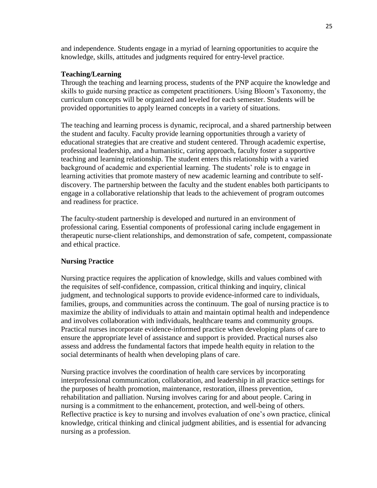and independence. Students engage in a myriad of learning opportunities to acquire the knowledge, skills, attitudes and judgments required for entry-level practice.

#### **Teaching/Learning**

Through the teaching and learning process, students of the PNP acquire the knowledge and skills to guide nursing practice as competent practitioners. Using Bloom's Taxonomy, the curriculum concepts will be organized and leveled for each semester. Students will be provided opportunities to apply learned concepts in a variety of situations.

The teaching and learning process is dynamic, reciprocal, and a shared partnership between the student and faculty. Faculty provide learning opportunities through a variety of educational strategies that are creative and student centered. Through academic expertise, professional leadership, and a humanistic, caring approach, faculty foster a supportive teaching and learning relationship. The student enters this relationship with a varied background of academic and experiential learning. The students' role is to engage in learning activities that promote mastery of new academic learning and contribute to selfdiscovery. The partnership between the faculty and the student enables both participants to engage in a collaborative relationship that leads to the achievement of program outcomes and readiness for practice.

The faculty-student partnership is developed and nurtured in an environment of professional caring. Essential components of professional caring include engagement in therapeutic nurse-client relationships, and demonstration of safe, competent, compassionate and ethical practice.

# **Nursing** P**ractice**

Nursing practice requires the application of knowledge, skills and values combined with the requisites of self-confidence, compassion, critical thinking and inquiry, clinical judgment, and technological supports to provide evidence-informed care to individuals, families, groups, and communities across the continuum. The goal of nursing practice is to maximize the ability of individuals to attain and maintain optimal health and independence and involves collaboration with individuals, healthcare teams and community groups. Practical nurses incorporate evidence-informed practice when developing plans of care to ensure the appropriate level of assistance and support is provided. Practical nurses also assess and address the fundamental factors that impede health equity in relation to the social determinants of health when developing plans of care.

Nursing practice involves the coordination of health care services by incorporating interprofessional communication, collaboration, and leadership in all practice settings for the purposes of health promotion, maintenance, restoration, illness prevention, rehabilitation and palliation. Nursing involves caring for and about people. Caring in nursing is a commitment to the enhancement, protection, and well-being of others. Reflective practice is key to nursing and involves evaluation of one's own practice, clinical knowledge, critical thinking and clinical judgment abilities, and is essential for advancing nursing as a profession.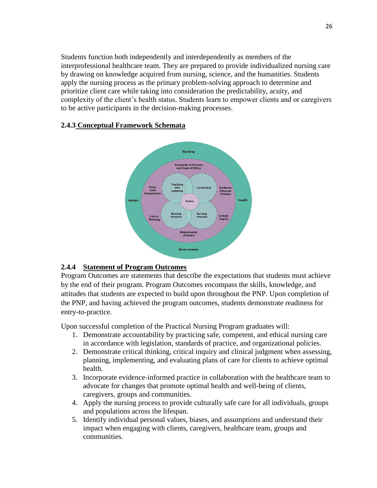Students function both independently and interdependently as members of the interprofessional healthcare team. They are prepared to provide individualized nursing care by drawing on knowledge acquired from nursing, science, and the humanities. Students apply the nursing process as the primary problem-solving approach to determine and prioritize client care while taking into consideration the predictability, acuity, and complexity of the client's health status. Students learn to empower clients and or caregivers to be active participants in the decision-making processes.

# **Nursing**

**2.4.3 Conceptual Framework Schemata**



# **2.4.4 Statement of Program Outcomes**

Program Outcomes are statements that describe the expectations that students must achieve by the end of their program. Program Outcomes encompass the skills, knowledge, and attitudes that students are expected to build upon throughout the PNP. Upon completion of the PNP, and having achieved the program outcomes, students demonstrate readiness for entry-to-practice.

Upon successful completion of the Practical Nursing Program graduates will:

- 1. Demonstrate accountability by practicing safe, competent, and ethical nursing care in accordance with legislation, standards of practice, and organizational policies.
- 2. Demonstrate critical thinking, critical inquiry and clinical judgment when assessing, planning, implementing, and evaluating plans of care for clients to achieve optimal health.
- 3. Incorporate evidence-informed practice in collaboration with the healthcare team to advocate for changes that promote optimal health and well-being of clients, caregivers, groups and communities.
- 4. Apply the nursing process to provide culturally safe care for all individuals, groups and populations across the lifespan.
- 5. Identify individual personal values, biases, and assumptions and understand their impact when engaging with clients, caregivers, healthcare team, groups and communities.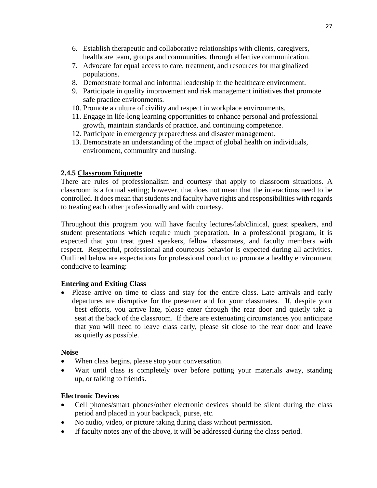- 6. Establish therapeutic and collaborative relationships with clients, caregivers, healthcare team, groups and communities, through effective communication.
- 7. Advocate for equal access to care, treatment, and resources for marginalized populations.
- 8. Demonstrate formal and informal leadership in the healthcare environment.
- 9. Participate in quality improvement and risk management initiatives that promote safe practice environments.
- 10. Promote a culture of civility and respect in workplace environments.
- 11. Engage in life-long learning opportunities to enhance personal and professional growth, maintain standards of practice, and continuing competence.
- 12. Participate in emergency preparedness and disaster management.
- 13. Demonstrate an understanding of the impact of global health on individuals, environment, community and nursing.

#### **2.4.5 Classroom Etiquette**

There are rules of professionalism and courtesy that apply to classroom situations. A classroom is a formal setting; however, that does not mean that the interactions need to be controlled. It does mean that students and faculty have rights and responsibilities with regards to treating each other professionally and with courtesy.

Throughout this program you will have faculty lectures/lab/clinical, guest speakers, and student presentations which require much preparation. In a professional program, it is expected that you treat guest speakers, fellow classmates, and faculty members with respect. Respectful, professional and courteous behavior is expected during all activities. Outlined below are expectations for professional conduct to promote a healthy environment conducive to learning:

# **Entering and Exiting Class**

 Please arrive on time to class and stay for the entire class. Late arrivals and early departures are disruptive for the presenter and for your classmates. If, despite your best efforts, you arrive late, please enter through the rear door and quietly take a seat at the back of the classroom. If there are extenuating circumstances you anticipate that you will need to leave class early, please sit close to the rear door and leave as quietly as possible.

#### **Noise**

- When class begins, please stop your conversation.
- Wait until class is completely over before putting your materials away, standing up, or talking to friends.

# **Electronic Devices**

- Cell phones/smart phones/other electronic devices should be silent during the class period and placed in your backpack, purse, etc.
- No audio, video, or picture taking during class without permission.
- If faculty notes any of the above, it will be addressed during the class period.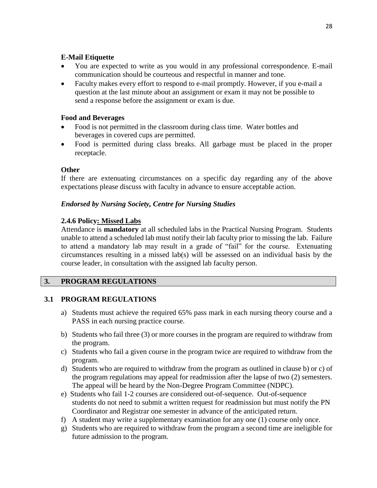#### **E-Mail Etiquette**

- You are expected to write as you would in any professional correspondence. E-mail communication should be courteous and respectful in manner and tone.
- Faculty makes every effort to respond to e-mail promptly. However, if you e-mail a question at the last minute about an assignment or exam it may not be possible to send a response before the assignment or exam is due.

#### **Food and Beverages**

- Food is not permitted in the classroom during class time. Water bottles and beverages in covered cups are permitted.
- Food is permitted during class breaks. All garbage must be placed in the proper receptacle.

# **Other**

If there are extenuating circumstances on a specific day regarding any of the above expectations please discuss with faculty in advance to ensure acceptable action.

# *Endorsed by Nursing Society, Centre for Nursing Studies*

# **2.4.6 Policy: Missed Labs**

Attendance is **mandatory** at all scheduled labs in the Practical Nursing Program. Students unable to attend a scheduled lab must notify their lab faculty prior to missing the lab. Failure to attend a mandatory lab may result in a grade of "fail" for the course. Extenuating circumstances resulting in a missed lab(s) will be assessed on an individual basis by the course leader, in consultation with the assigned lab faculty person.

# **3. PROGRAM REGULATIONS**

# **3.1 PROGRAM REGULATIONS**

- a) Students must achieve the required 65% pass mark in each nursing theory course and a PASS in each nursing practice course.
- b) Students who fail three (3) or more courses in the program are required to withdraw from the program.
- c) Students who fail a given course in the program twice are required to withdraw from the program.
- d) Students who are required to withdraw from the program as outlined in clause b) or c) of the program regulations may appeal for readmission after the lapse of two (2) semesters. The appeal will be heard by the Non-Degree Program Committee (NDPC).
- e) Students who fail 1-2 courses are considered out-of-sequence. Out-of-sequence students do not need to submit a written request for readmission but must notify the PN Coordinator and Registrar one semester in advance of the anticipated return.
- f) A student may write a supplementary examination for any one (1) course only once.
- g) Students who are required to withdraw from the program a second time are ineligible for future admission to the program.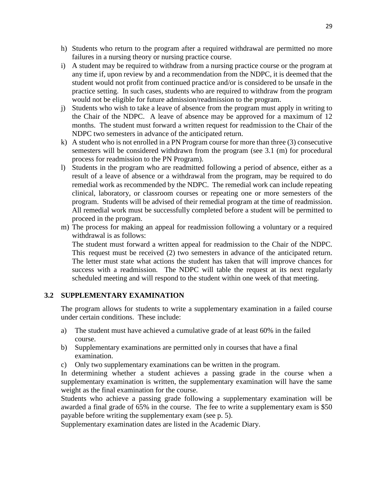- h) Students who return to the program after a required withdrawal are permitted no more failures in a nursing theory or nursing practice course.
- i) A student may be required to withdraw from a nursing practice course or the program at any time if, upon review by and a recommendation from the NDPC, it is deemed that the student would not profit from continued practice and/or is considered to be unsafe in the practice setting. In such cases, students who are required to withdraw from the program would not be eligible for future admission/readmission to the program.
- j) Students who wish to take a leave of absence from the program must apply in writing to the Chair of the NDPC. A leave of absence may be approved for a maximum of 12 months. The student must forward a written request for readmission to the Chair of the NDPC two semesters in advance of the anticipated return.
- k) A student who is not enrolled in a PN Program course for more than three (3) consecutive semesters will be considered withdrawn from the program (see 3.1 (m) for procedural process for readmission to the PN Program).
- l) Students in the program who are readmitted following a period of absence, either as a result of a leave of absence or a withdrawal from the program, may be required to do remedial work as recommended by the NDPC. The remedial work can include repeating clinical, laboratory, or classroom courses or repeating one or more semesters of the program. Students will be advised of their remedial program at the time of readmission. All remedial work must be successfully completed before a student will be permitted to proceed in the program.
- m) The process for making an appeal for readmission following a voluntary or a required withdrawal is as follows:

The student must forward a written appeal for readmission to the Chair of the NDPC. This request must be received (2) two semesters in advance of the anticipated return. The letter must state what actions the student has taken that will improve chances for success with a readmission. The NDPC will table the request at its next regularly scheduled meeting and will respond to the student within one week of that meeting.

#### **3.2 SUPPLEMENTARY EXAMINATION**

The program allows for students to write a supplementary examination in a failed course under certain conditions. These include:

- a) The student must have achieved a cumulative grade of at least 60% in the failed course.
- b) Supplementary examinations are permitted only in courses that have a final examination.
- c) Only two supplementary examinations can be written in the program.

In determining whether a student achieves a passing grade in the course when a supplementary examination is written, the supplementary examination will have the same weight as the final examination for the course.

Students who achieve a passing grade following a supplementary examination will be awarded a final grade of 65% in the course. The fee to write a supplementary exam is \$50 payable before writing the supplementary exam (see p. 5).

Supplementary examination dates are listed in the Academic Diary.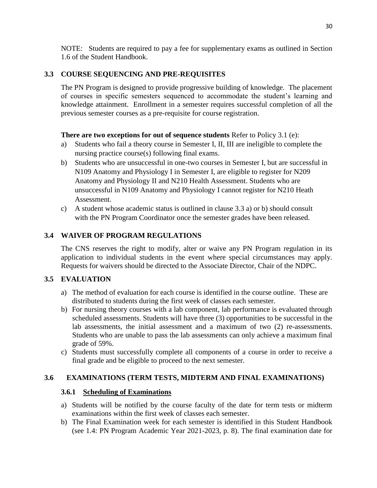NOTE: Students are required to pay a fee for supplementary exams as outlined in Section 1.6 of the Student Handbook.

# **3.3 COURSE SEQUENCING AND PRE-REQUISITES**

The PN Program is designed to provide progressive building of knowledge. The placement of courses in specific semesters sequenced to accommodate the student's learning and knowledge attainment. Enrollment in a semester requires successful completion of all the previous semester courses as a pre-requisite for course registration.

# **There are two exceptions for out of sequence students** Refer to Policy 3.1 (e):

- a) Students who fail a theory course in Semester I, II, III are ineligible to complete the nursing practice course(s) following final exams.
- b) Students who are unsuccessful in one-two courses in Semester I, but are successful in N109 Anatomy and Physiology I in Semester I, are eligible to register for N209 Anatomy and Physiology II and N210 Health Assessment. Students who are unsuccessful in N109 Anatomy and Physiology I cannot register for N210 Heath Assessment.
- c) A student whose academic status is outlined in clause 3.3 a) or b) should consult with the PN Program Coordinator once the semester grades have been released.

# **3.4 WAIVER OF PROGRAM REGULATIONS**

The CNS reserves the right to modify, alter or waive any PN Program regulation in its application to individual students in the event where special circumstances may apply. Requests for waivers should be directed to the Associate Director, Chair of the NDPC.

# **3.5 EVALUATION**

- a) The method of evaluation for each course is identified in the course outline. These are distributed to students during the first week of classes each semester.
- b) For nursing theory courses with a lab component, lab performance is evaluated through scheduled assessments. Students will have three (3) opportunities to be successful in the lab assessments, the initial assessment and a maximum of two (2) re-assessments. Students who are unable to pass the lab assessments can only achieve a maximum final grade of 59%.
- c) Students must successfully complete all components of a course in order to receive a final grade and be eligible to proceed to the next semester.

# **3.6 EXAMINATIONS (TERM TESTS, MIDTERM AND FINAL EXAMINATIONS)**

# **3.6.1 Scheduling of Examinations**

- a) Students will be notified by the course faculty of the date for term tests or midterm examinations within the first week of classes each semester.
- b) The Final Examination week for each semester is identified in this Student Handbook (see 1.4: PN Program Academic Year 2021-2023, p. 8). The final examination date for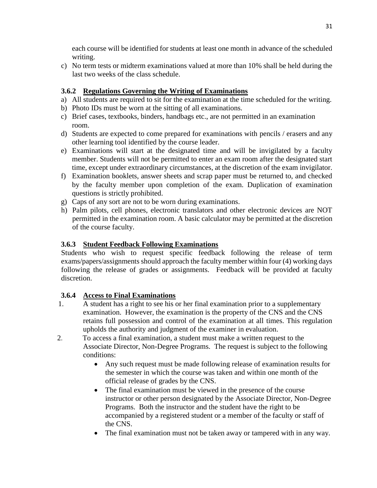each course will be identified for students at least one month in advance of the scheduled writing.

c) No term tests or midterm examinations valued at more than 10% shall be held during the last two weeks of the class schedule.

# **3.6.2 Regulations Governing the Writing of Examinations**

- a) All students are required to sit for the examination at the time scheduled for the writing.
- b) Photo IDs must be worn at the sitting of all examinations.
- c) Brief cases, textbooks, binders, handbags etc., are not permitted in an examination room.
- d) Students are expected to come prepared for examinations with pencils / erasers and any other learning tool identified by the course leader.
- e) Examinations will start at the designated time and will be invigilated by a faculty member. Students will not be permitted to enter an exam room after the designated start time, except under extraordinary circumstances, at the discretion of the exam invigilator.
- f) Examination booklets, answer sheets and scrap paper must be returned to, and checked by the faculty member upon completion of the exam. Duplication of examination questions is strictly prohibited.
- g) Caps of any sort are not to be worn during examinations.
- h) Palm pilots, cell phones, electronic translators and other electronic devices are NOT permitted in the examination room. A basic calculator may be permitted at the discretion of the course faculty.

# **3.6.3 Student Feedback Following Examinations**

Students who wish to request specific feedback following the release of term exams/papers/assignments should approach the faculty member within four (4) working days following the release of grades or assignments. Feedback will be provided at faculty discretion.

# **3.6.4 Access to Final Examinations**

- 1. A student has a right to see his or her final examination prior to a supplementary examination. However, the examination is the property of the CNS and the CNS retains full possession and control of the examination at all times. This regulation upholds the authority and judgment of the examiner in evaluation.
- 2. To access a final examination, a student must make a written request to the Associate Director, Non-Degree Programs. The request is subject to the following conditions:
	- Any such request must be made following release of examination results for the semester in which the course was taken and within one month of the official release of grades by the CNS.
	- The final examination must be viewed in the presence of the course instructor or other person designated by the Associate Director, Non-Degree Programs. Both the instructor and the student have the right to be accompanied by a registered student or a member of the faculty or staff of the CNS.
	- The final examination must not be taken away or tampered with in any way.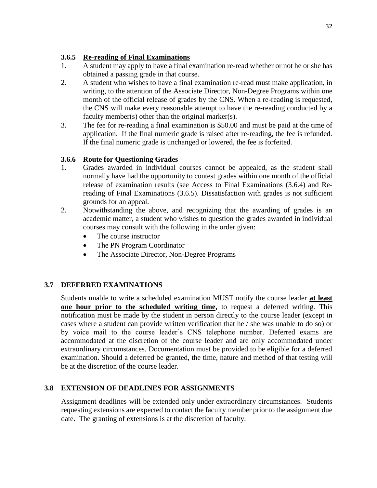# **3.6.5 Re-reading of Final Examinations**

- 1. A student may apply to have a final examination re-read whether or not he or she has obtained a passing grade in that course.
- 2. A student who wishes to have a final examination re-read must make application, in writing, to the attention of the Associate Director, Non-Degree Programs within one month of the official release of grades by the CNS. When a re-reading is requested, the CNS will make every reasonable attempt to have the re-reading conducted by a faculty member(s) other than the original marker(s).
- 3. The fee for re-reading a final examination is \$50.00 and must be paid at the time of application. If the final numeric grade is raised after re-reading, the fee is refunded. If the final numeric grade is unchanged or lowered, the fee is forfeited.

# **3.6.6 Route for Questioning Grades**

- 1. Grades awarded in individual courses cannot be appealed, as the student shall normally have had the opportunity to contest grades within one month of the official release of examination results (see Access to Final Examinations (3.6.4) and Rereading of Final Examinations (3.6.5). Dissatisfaction with grades is not sufficient grounds for an appeal.
- 2. Notwithstanding the above, and recognizing that the awarding of grades is an academic matter, a student who wishes to question the grades awarded in individual courses may consult with the following in the order given:
	- The course instructor
	- The PN Program Coordinator
	- The Associate Director, Non-Degree Programs

# **3.7 DEFERRED EXAMINATIONS**

Students unable to write a scheduled examination MUST notify the course leader **at least one hour prior to the scheduled writing time,** to request a deferred writing. This notification must be made by the student in person directly to the course leader (except in cases where a student can provide written verification that he / she was unable to do so) or by voice mail to the course leader's CNS telephone number. Deferred exams are accommodated at the discretion of the course leader and are only accommodated under extraordinary circumstances. Documentation must be provided to be eligible for a deferred examination. Should a deferred be granted, the time, nature and method of that testing will be at the discretion of the course leader.

# **3.8 EXTENSION OF DEADLINES FOR ASSIGNMENTS**

Assignment deadlines will be extended only under extraordinary circumstances. Students requesting extensions are expected to contact the faculty member prior to the assignment due date. The granting of extensions is at the discretion of faculty.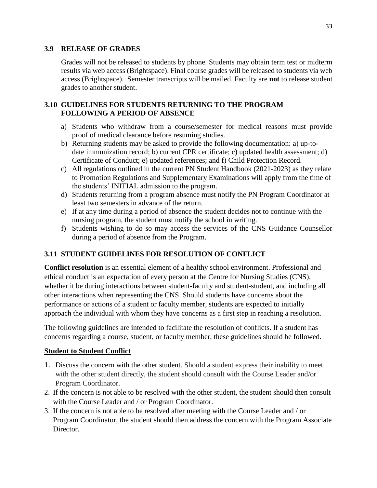#### **3.9 RELEASE OF GRADES**

Grades will not be released to students by phone. Students may obtain term test or midterm results via web access (Brightspace). Final course grades will be released to students via web access (Brightspace). Semester transcripts will be mailed. Faculty are **not** to release student grades to another student.

#### **3.10 GUIDELINES FOR STUDENTS RETURNING TO THE PROGRAM FOLLOWING A PERIOD OF ABSENCE**

- a) Students who withdraw from a course/semester for medical reasons must provide proof of medical clearance before resuming studies.
- b) Returning students may be asked to provide the following documentation: a) up-todate immunization record; b) current CPR certificate; c) updated health assessment; d) Certificate of Conduct; e) updated references; and f) Child Protection Record.
- c) All regulations outlined in the current PN Student Handbook (2021-2023) as they relate to Promotion Regulations and Supplementary Examinations will apply from the time of the students' INITIAL admission to the program.
- d) Students returning from a program absence must notify the PN Program Coordinator at least two semesters in advance of the return.
- e) If at any time during a period of absence the student decides not to continue with the nursing program, the student must notify the school in writing.
- f) Students wishing to do so may access the services of the CNS Guidance Counsellor during a period of absence from the Program.

# **3.11 STUDENT GUIDELINES FOR RESOLUTION OF CONFLICT**

**Conflict resolution** is an essential element of a healthy school environment. Professional and ethical conduct is an expectation of every person at the Centre for Nursing Studies (CNS), whether it be during interactions between student-faculty and student-student, and including all other interactions when representing the CNS. Should students have concerns about the performance or actions of a student or faculty member, students are expected to initially approach the individual with whom they have concerns as a first step in reaching a resolution.

The following guidelines are intended to facilitate the resolution of conflicts. If a student has concerns regarding a course, student, or faculty member, these guidelines should be followed.

# **Student to Student Conflict**

- 1. Discuss the concern with the other student. Should a student express their inability to meet with the other student directly, the student should consult with the Course Leader and/or Program Coordinator.
- 2. If the concern is not able to be resolved with the other student, the student should then consult with the Course Leader and / or Program Coordinator.
- 3. If the concern is not able to be resolved after meeting with the Course Leader and / or Program Coordinator, the student should then address the concern with the Program Associate Director.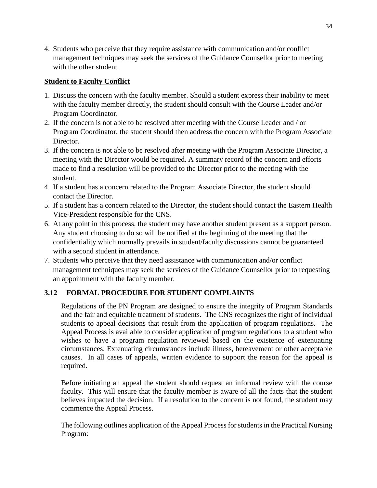4. Students who perceive that they require assistance with communication and/or conflict management techniques may seek the services of the Guidance Counsellor prior to meeting with the other student.

# **Student to Faculty Conflict**

- 1. Discuss the concern with the faculty member. Should a student express their inability to meet with the faculty member directly, the student should consult with the Course Leader and/or Program Coordinator.
- 2. If the concern is not able to be resolved after meeting with the Course Leader and / or Program Coordinator, the student should then address the concern with the Program Associate Director.
- 3. If the concern is not able to be resolved after meeting with the Program Associate Director, a meeting with the Director would be required. A summary record of the concern and efforts made to find a resolution will be provided to the Director prior to the meeting with the student.
- 4. If a student has a concern related to the Program Associate Director, the student should contact the Director.
- 5. If a student has a concern related to the Director, the student should contact the Eastern Health Vice-President responsible for the CNS.
- 6. At any point in this process, the student may have another student present as a support person. Any student choosing to do so will be notified at the beginning of the meeting that the confidentiality which normally prevails in student/faculty discussions cannot be guaranteed with a second student in attendance.
- 7. Students who perceive that they need assistance with communication and/or conflict management techniques may seek the services of the Guidance Counsellor prior to requesting an appointment with the faculty member.

# **3.12 FORMAL PROCEDURE FOR STUDENT COMPLAINTS**

Regulations of the PN Program are designed to ensure the integrity of Program Standards and the fair and equitable treatment of students. The CNS recognizes the right of individual students to appeal decisions that result from the application of program regulations. The Appeal Process is available to consider application of program regulations to a student who wishes to have a program regulation reviewed based on the existence of extenuating circumstances. Extenuating circumstances include illness, bereavement or other acceptable causes. In all cases of appeals, written evidence to support the reason for the appeal is required.

Before initiating an appeal the student should request an informal review with the course faculty. This will ensure that the faculty member is aware of all the facts that the student believes impacted the decision. If a resolution to the concern is not found, the student may commence the Appeal Process.

The following outlines application of the Appeal Process for students in the Practical Nursing Program: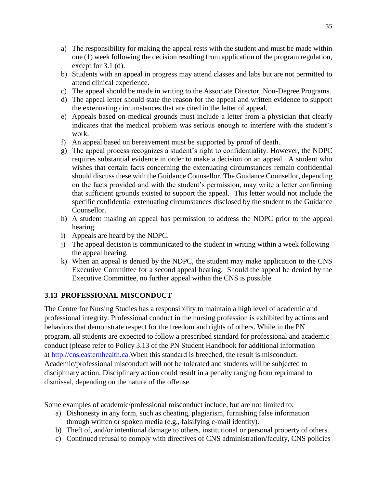- a) The responsibility for making the appeal rests with the student and must be made within one (1) week following the decision resulting from application of the program regulation, except for 3.1 (d).
- b) Students with an appeal in progress may attend classes and labs but are not permitted to attend clinical experience.
- c) The appeal should be made in writing to the Associate Director, Non-Degree Programs.
- d) The appeal letter should state the reason for the appeal and written evidence to support the extenuating circumstances that are cited in the letter of appeal.
- e) Appeals based on medical grounds must include a letter from a physician that clearly indicates that the medical problem was serious enough to interfere with the student's work.
- f) An appeal based on bereavement must be supported by proof of death.
- g) The appeal process recognizes a student's right to confidentiality. However, the NDPC requires substantial evidence in order to make a decision on an appeal. A student who wishes that certain facts concerning the extenuating circumstances remain confidential should discuss these with the Guidance Counsellor. The Guidance Counsellor, depending on the facts provided and with the student's permission, may write a letter confirming that sufficient grounds existed to support the appeal. This letter would not include the specific confidential extenuating circumstances disclosed by the student to the Guidance Counsellor.
- h) A student making an appeal has permission to address the NDPC prior to the appeal hearing.
- i) Appeals are heard by the NDPC.
- j) The appeal decision is communicated to the student in writing within a week following the appeal hearing.
- k) When an appeal is denied by the NDPC, the student may make application to the CNS Executive Committee for a second appeal hearing. Should the appeal be denied by the Executive Committee, no further appeal within the CNS is possible.

# **3.13 PROFESSIONAL MISCONDUCT**

The Centre for Nursing Studies has a responsibility to maintain a high level of academic and professional integrity. Professional conduct in the nursing profession is exhibited by actions and behaviors that demonstrate respect for the freedom and rights of others. While in the PN program, all students are expected to follow a prescribed standard for professional and academic conduct (please refer to Policy 3.13 of the PN Student Handbook for additional information at [http://cns.easternhealth.ca.](http://cns.easternhealth.ca/)When this standard is breeched, the result is misconduct. Academic/professional misconduct will not be tolerated and students will be subjected to disciplinary action. Disciplinary action could result in a penalty ranging from reprimand to dismissal, depending on the nature of the offense.

Some examples of academic/professional misconduct include, but are not limited to:

- a) Dishonesty in any form, such as cheating, plagiarism, furnishing false information through written or spoken media (e.g., falsifying e-mail identity).
- b) Theft of, and/or intentional damage to others, institutional or personal property of others.
- c) Continued refusal to comply with directives of CNS administration/faculty, CNS policies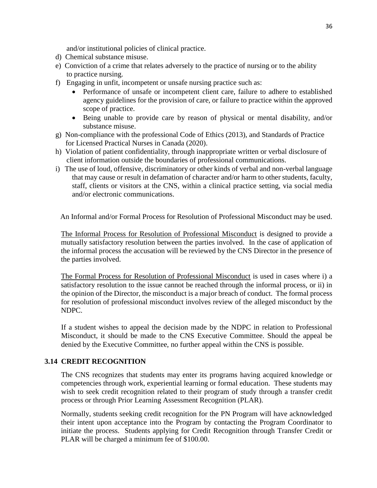and/or institutional policies of clinical practice.

- d) Chemical substance misuse.
- e) Conviction of a crime that relates adversely to the practice of nursing or to the ability to practice nursing.
- f) Engaging in unfit, incompetent or unsafe nursing practice such as:
	- Performance of unsafe or incompetent client care, failure to adhere to established agency guidelines for the provision of care, or failure to practice within the approved scope of practice.
	- Being unable to provide care by reason of physical or mental disability, and/or substance misuse.
- g) Non-compliance with the professional Code of Ethics (2013), and Standards of Practice for Licensed Practical Nurses in Canada (2020).
- h) Violation of patient confidentiality, through inappropriate written or verbal disclosure of client information outside the boundaries of professional communications.
- i) The use of loud, offensive, discriminatory or other kinds of verbal and non-verbal language that may cause or result in defamation of character and/or harm to other students, faculty, staff, clients or visitors at the CNS, within a clinical practice setting, via social media and/or electronic communications.

An Informal and/or Formal Process for Resolution of Professional Misconduct may be used.

The Informal Process for Resolution of Professional Misconduct is designed to provide a mutually satisfactory resolution between the parties involved. In the case of application of the informal process the accusation will be reviewed by the CNS Director in the presence of the parties involved.

The Formal Process for Resolution of Professional Misconduct is used in cases where i) a satisfactory resolution to the issue cannot be reached through the informal process, or ii) in the opinion of the Director, the misconduct is a major breach of conduct. The formal process for resolution of professional misconduct involves review of the alleged misconduct by the NDPC.

If a student wishes to appeal the decision made by the NDPC in relation to Professional Misconduct, it should be made to the CNS Executive Committee. Should the appeal be denied by the Executive Committee, no further appeal within the CNS is possible.

# **3.14 CREDIT RECOGNITION**

The CNS recognizes that students may enter its programs having acquired knowledge or competencies through work, experiential learning or formal education. These students may wish to seek credit recognition related to their program of study through a transfer credit process or through Prior Learning Assessment Recognition (PLAR).

Normally, students seeking credit recognition for the PN Program will have acknowledged their intent upon acceptance into the Program by contacting the Program Coordinator to initiate the process. Students applying for Credit Recognition through Transfer Credit or PLAR will be charged a minimum fee of \$100.00.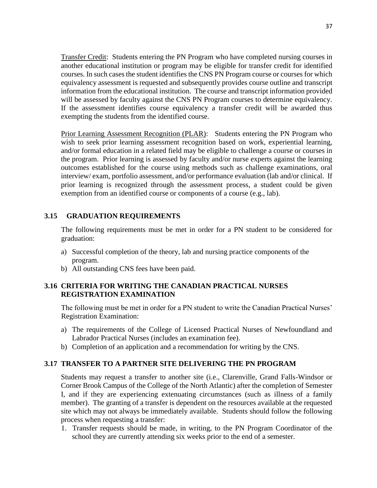Transfer Credit: Students entering the PN Program who have completed nursing courses in another educational institution or program may be eligible for transfer credit for identified courses. In such cases the student identifies the CNS PN Program course or courses for which equivalency assessment is requested and subsequently provides course outline and transcript information from the educational institution. The course and transcript information provided will be assessed by faculty against the CNS PN Program courses to determine equivalency. If the assessment identifies course equivalency a transfer credit will be awarded thus exempting the students from the identified course.

Prior Learning Assessment Recognition (PLAR): Students entering the PN Program who wish to seek prior learning assessment recognition based on work, experiential learning, and/or formal education in a related field may be eligible to challenge a course or courses in the program. Prior learning is assessed by faculty and/or nurse experts against the learning outcomes established for the course using methods such as challenge examinations, oral interview/ exam, portfolio assessment, and/or performance evaluation (lab and/or clinical. If prior learning is recognized through the assessment process, a student could be given exemption from an identified course or components of a course (e.g., lab).

#### **3.15 GRADUATION REQUIREMENTS**

The following requirements must be met in order for a PN student to be considered for graduation:

- a) Successful completion of the theory, lab and nursing practice components of the program.
- b) All outstanding CNS fees have been paid.

#### **3.16 CRITERIA FOR WRITING THE CANADIAN PRACTICAL NURSES REGISTRATION EXAMINATION**

The following must be met in order for a PN student to write the Canadian Practical Nurses' Registration Examination:

- a) The requirements of the College of Licensed Practical Nurses of Newfoundland and Labrador Practical Nurses (includes an examination fee).
- b) Completion of an application and a recommendation for writing by the CNS.

# **3.17 TRANSFER TO A PARTNER SITE DELIVERING THE PN PROGRAM**

Students may request a transfer to another site (i.e., Clarenville, Grand Falls-Windsor or Corner Brook Campus of the College of the North Atlantic) after the completion of Semester I, and if they are experiencing extenuating circumstances (such as illness of a family member). The granting of a transfer is dependent on the resources available at the requested site which may not always be immediately available. Students should follow the following process when requesting a transfer:

1. Transfer requests should be made, in writing, to the PN Program Coordinator of the school they are currently attending six weeks prior to the end of a semester.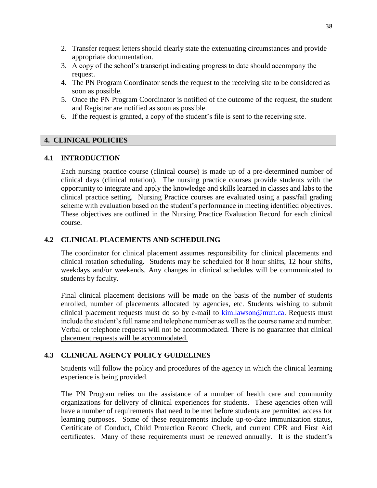- 2. Transfer request letters should clearly state the extenuating circumstances and provide appropriate documentation.
- 3. A copy of the school's transcript indicating progress to date should accompany the request.
- 4. The PN Program Coordinator sends the request to the receiving site to be considered as soon as possible.
- 5. Once the PN Program Coordinator is notified of the outcome of the request, the student and Registrar are notified as soon as possible.
- 6. If the request is granted, a copy of the student's file is sent to the receiving site.

#### **4. CLINICAL POLICIES**

#### **4.1 INTRODUCTION**

Each nursing practice course (clinical course) is made up of a pre-determined number of clinical days (clinical rotation). The nursing practice courses provide students with the opportunity to integrate and apply the knowledge and skills learned in classes and labs to the clinical practice setting. Nursing Practice courses are evaluated using a pass/fail grading scheme with evaluation based on the student's performance in meeting identified objectives. These objectives are outlined in the Nursing Practice Evaluation Record for each clinical course.

#### **4.2 CLINICAL PLACEMENTS AND SCHEDULING**

The coordinator for clinical placement assumes responsibility for clinical placements and clinical rotation scheduling. Students may be scheduled for 8 hour shifts, 12 hour shifts, weekdays and/or weekends. Any changes in clinical schedules will be communicated to students by faculty.

Final clinical placement decisions will be made on the basis of the number of students enrolled, number of placements allocated by agencies, etc. Students wishing to submit clinical placement requests must do so by e-mail to [kim.lawson@mun.ca.](mailto:kim.lawson@mun.ca) Requests must include the student's full name and telephone number as well as the course name and number. Verbal or telephone requests will not be accommodated. There is no guarantee that clinical placement requests will be accommodated.

# **4.3 CLINICAL AGENCY POLICY GUIDELINES**

Students will follow the policy and procedures of the agency in which the clinical learning experience is being provided.

The PN Program relies on the assistance of a number of health care and community organizations for delivery of clinical experiences for students. These agencies often will have a number of requirements that need to be met before students are permitted access for learning purposes. Some of these requirements include up-to-date immunization status, Certificate of Conduct, Child Protection Record Check, and current CPR and First Aid certificates. Many of these requirements must be renewed annually. It is the student's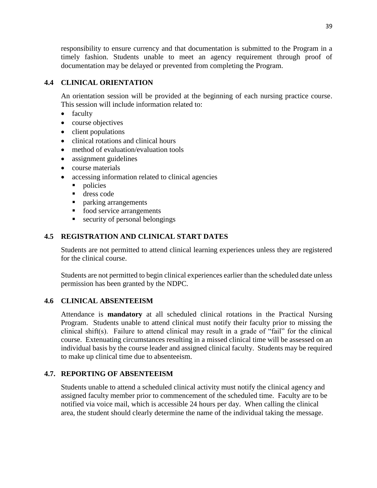responsibility to ensure currency and that documentation is submitted to the Program in a timely fashion. Students unable to meet an agency requirement through proof of documentation may be delayed or prevented from completing the Program.

# **4.4 CLINICAL ORIENTATION**

An orientation session will be provided at the beginning of each nursing practice course. This session will include information related to:

- faculty
- course objectives
- client populations
- clinical rotations and clinical hours
- method of evaluation/evaluation tools
- assignment guidelines
- course materials
- accessing information related to clinical agencies
	- policies
	- dress code
	- **parking arrangements**
	- food service arrangements
	- security of personal belongings

# **4.5 REGISTRATION AND CLINICAL START DATES**

Students are not permitted to attend clinical learning experiences unless they are registered for the clinical course.

Students are not permitted to begin clinical experiences earlier than the scheduled date unless permission has been granted by the NDPC.

# **4.6 CLINICAL ABSENTEEISM**

Attendance is **mandatory** at all scheduled clinical rotations in the Practical Nursing Program. Students unable to attend clinical must notify their faculty prior to missing the clinical shift(s). Failure to attend clinical may result in a grade of "fail" for the clinical course. Extenuating circumstances resulting in a missed clinical time will be assessed on an individual basis by the course leader and assigned clinical faculty. Students may be required to make up clinical time due to absenteeism.

# **4.7. REPORTING OF ABSENTEEISM**

Students unable to attend a scheduled clinical activity must notify the clinical agency and assigned faculty member prior to commencement of the scheduled time. Faculty are to be notified via voice mail, which is accessible 24 hours per day. When calling the clinical area, the student should clearly determine the name of the individual taking the message.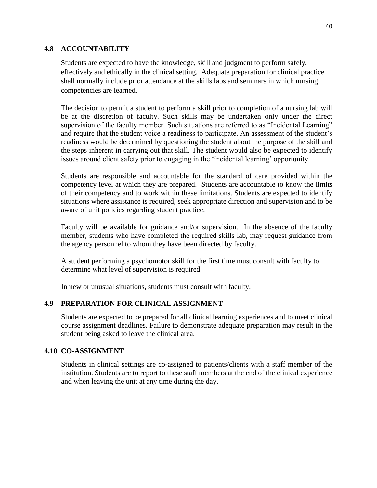#### **4.8 ACCOUNTABILITY**

Students are expected to have the knowledge, skill and judgment to perform safely, effectively and ethically in the clinical setting. Adequate preparation for clinical practice shall normally include prior attendance at the skills labs and seminars in which nursing competencies are learned.

The decision to permit a student to perform a skill prior to completion of a nursing lab will be at the discretion of faculty. Such skills may be undertaken only under the direct supervision of the faculty member. Such situations are referred to as "Incidental Learning" and require that the student voice a readiness to participate. An assessment of the student's readiness would be determined by questioning the student about the purpose of the skill and the steps inherent in carrying out that skill. The student would also be expected to identify issues around client safety prior to engaging in the 'incidental learning' opportunity.

Students are responsible and accountable for the standard of care provided within the competency level at which they are prepared. Students are accountable to know the limits of their competency and to work within these limitations. Students are expected to identify situations where assistance is required, seek appropriate direction and supervision and to be aware of unit policies regarding student practice.

Faculty will be available for guidance and/or supervision. In the absence of the faculty member, students who have completed the required skills lab, may request guidance from the agency personnel to whom they have been directed by faculty.

A student performing a psychomotor skill for the first time must consult with faculty to determine what level of supervision is required.

In new or unusual situations, students must consult with faculty.

# **4.9 PREPARATION FOR CLINICAL ASSIGNMENT**

Students are expected to be prepared for all clinical learning experiences and to meet clinical course assignment deadlines. Failure to demonstrate adequate preparation may result in the student being asked to leave the clinical area.

#### **4.10 CO-ASSIGNMENT**

Students in clinical settings are co-assigned to patients/clients with a staff member of the institution. Students are to report to these staff members at the end of the clinical experience and when leaving the unit at any time during the day.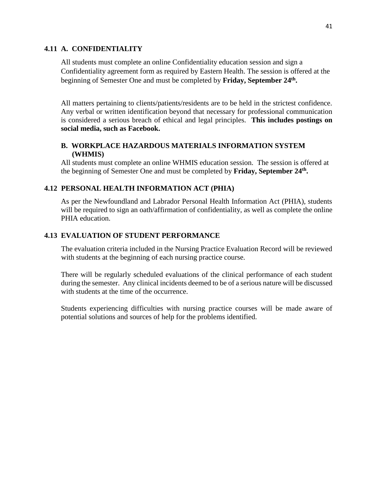#### **4.11 A. CONFIDENTIALITY**

All students must complete an online Confidentiality education session and sign a Confidentiality agreement form as required by Eastern Health. The session is offered at the beginning of Semester One and must be completed by Friday, September 24<sup>th</sup>.

All matters pertaining to clients/patients/residents are to be held in the strictest confidence. Any verbal or written identification beyond that necessary for professional communication is considered a serious breach of ethical and legal principles. **This includes postings on social media, such as Facebook.**

#### **B. WORKPLACE HAZARDOUS MATERIALS INFORMATION SYSTEM (WHMIS)**

All students must complete an online WHMIS education session. The session is offered at the beginning of Semester One and must be completed by **Friday, September 24 th .**

# **4.12 PERSONAL HEALTH INFORMATION ACT (PHIA)**

As per the Newfoundland and Labrador Personal Health Information Act (PHIA), students will be required to sign an oath/affirmation of confidentiality, as well as complete the online PHIA education.

# **4.13 EVALUATION OF STUDENT PERFORMANCE**

The evaluation criteria included in the Nursing Practice Evaluation Record will be reviewed with students at the beginning of each nursing practice course.

There will be regularly scheduled evaluations of the clinical performance of each student during the semester. Any clinical incidents deemed to be of a serious nature will be discussed with students at the time of the occurrence.

Students experiencing difficulties with nursing practice courses will be made aware of potential solutions and sources of help for the problems identified.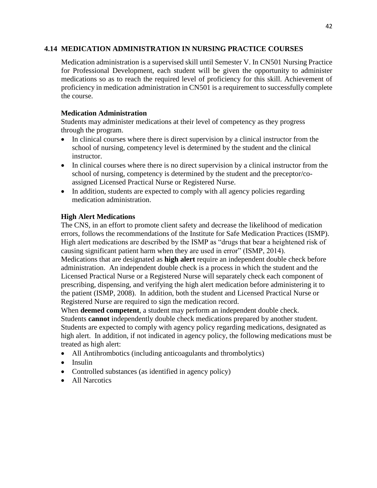#### **4.14 MEDICATION ADMINISTRATION IN NURSING PRACTICE COURSES**

Medication administration is a supervised skill until Semester V. In CN501 Nursing Practice for Professional Development, each student will be given the opportunity to administer medications so as to reach the required level of proficiency for this skill. Achievement of proficiency in medication administration in CN501 is a requirement to successfully complete the course.

#### **Medication Administration**

Students may administer medications at their level of competency as they progress through the program.

- In clinical courses where there is direct supervision by a clinical instructor from the school of nursing, competency level is determined by the student and the clinical instructor.
- In clinical courses where there is no direct supervision by a clinical instructor from the school of nursing, competency is determined by the student and the preceptor/coassigned Licensed Practical Nurse or Registered Nurse.
- In addition, students are expected to comply with all agency policies regarding medication administration.

# **High Alert Medications**

The CNS, in an effort to promote client safety and decrease the likelihood of medication errors, follows the recommendations of the Institute for Safe Medication Practices (ISMP). High alert medications are described by the ISMP as "drugs that bear a heightened risk of causing significant patient harm when they are used in error" (ISMP, 2014).

Medications that are designated as **high alert** require an independent double check before administration. An independent double check is a process in which the student and the Licensed Practical Nurse or a Registered Nurse will separately check each component of prescribing, dispensing, and verifying the high alert medication before administering it to the patient (ISMP, 2008). In addition, both the student and Licensed Practical Nurse or Registered Nurse are required to sign the medication record.

When **deemed competent**, a student may perform an independent double check. Students **cannot** independently double check medications prepared by another student. Students are expected to comply with agency policy regarding medications, designated as high alert. In addition, if not indicated in agency policy, the following medications must be treated as high alert:

- All Antihrombotics (including anticoagulants and thrombolytics)
- $\bullet$  Insulin
- Controlled substances (as identified in agency policy)
- All Narcotics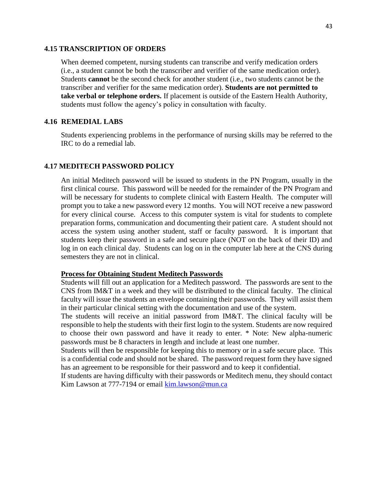#### **4.15 TRANSCRIPTION OF ORDERS**

When deemed competent, nursing students can transcribe and verify medication orders (i.e., a student cannot be both the transcriber and verifier of the same medication order). Students **cannot** be the second check for another student (i.e., two students cannot be the transcriber and verifier for the same medication order). **Students are not permitted to take verbal or telephone orders.** If placement is outside of the Eastern Health Authority, students must follow the agency's policy in consultation with faculty.

#### **4.16 REMEDIAL LABS**

Students experiencing problems in the performance of nursing skills may be referred to the IRC to do a remedial lab.

#### **4.17 MEDITECH PASSWORD POLICY**

An initial Meditech password will be issued to students in the PN Program, usually in the first clinical course. This password will be needed for the remainder of the PN Program and will be necessary for students to complete clinical with Eastern Health. The computer will prompt you to take a new password every 12 months. You will NOT receive a new password for every clinical course. Access to this computer system is vital for students to complete preparation forms, communication and documenting their patient care. A student should not access the system using another student, staff or faculty password. It is important that students keep their password in a safe and secure place (NOT on the back of their ID) and log in on each clinical day. Students can log on in the computer lab here at the CNS during semesters they are not in clinical.

#### **Process for Obtaining Student Meditech Passwords**

Students will fill out an application for a Meditech password. The passwords are sent to the CNS from IM&T in a week and they will be distributed to the clinical faculty. The clinical faculty will issue the students an envelope containing their passwords. They will assist them in their particular clinical setting with the documentation and use of the system.

The students will receive an initial password from IM&T. The clinical faculty will be responsible to help the students with their first login to the system. Students are now required to choose their own password and have it ready to enter. \* Note: New alpha-numeric passwords must be 8 characters in length and include at least one number.

Students will then be responsible for keeping this to memory or in a safe secure place. This is a confidential code and should not be shared. The password request form they have signed has an agreement to be responsible for their password and to keep it confidential.

If students are having difficulty with their passwords or Meditech menu, they should contact Kim Lawson at 777-7194 or email [kim.lawson@mun.ca](mailto:kim.lawson@mun.ca)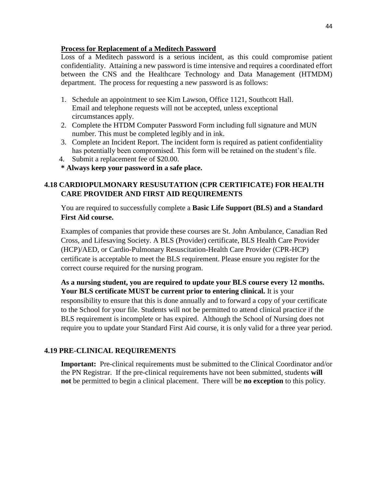#### **Process for Replacement of a Meditech Password**

Loss of a Meditech password is a serious incident, as this could compromise patient confidentiality. Attaining a new password is time intensive and requires a coordinated effort between the CNS and the Healthcare Technology and Data Management (HTMDM) department. The process for requesting a new password is as follows:

- 1. Schedule an appointment to see Kim Lawson, Office 1121, Southcott Hall. Email and telephone requests will not be accepted, unless exceptional circumstances apply.
- 2. Complete the HTDM Computer Password Form including full signature and MUN number. This must be completed legibly and in ink.
- 3. Complete an Incident Report. The incident form is required as patient confidentiality has potentially been compromised. This form will be retained on the student's file.
- 4. Submit a replacement fee of \$20.00.
- **\* Always keep your password in a safe place.**

# **4.18 CARDIOPULMONARY RESUSUTATION (CPR CERTIFICATE) FOR HEALTH CARE PROVIDER AND FIRST AID REQUIREMENTS**

You are required to successfully complete a **Basic Life Support (BLS) and a Standard First Aid course.**

Examples of companies that provide these courses are St. John Ambulance, Canadian Red Cross, and Lifesaving Society. A BLS (Provider) certificate, BLS Health Care Provider (HCP)/AED, or Cardio-Pulmonary Resuscitation-Health Care Provider (CPR-HCP) certificate is acceptable to meet the BLS requirement. Please ensure you register for the correct course required for the nursing program.

**As a nursing student, you are required to update your BLS course every 12 months. Your BLS certificate MUST be current prior to entering clinical.** It is your responsibility to ensure that this is done annually and to forward a copy of your certificate to the School for your file. Students will not be permitted to attend clinical practice if the BLS requirement is incomplete or has expired. Although the School of Nursing does not require you to update your Standard First Aid course, it is only valid for a three year period.

# **4.19 PRE-CLINICAL REQUIREMENTS**

**Important:** Pre-clinical requirements must be submitted to the Clinical Coordinator and/or the PN Registrar. If the pre-clinical requirements have not been submitted, students **will not** be permitted to begin a clinical placement. There will be **no exception** to this policy.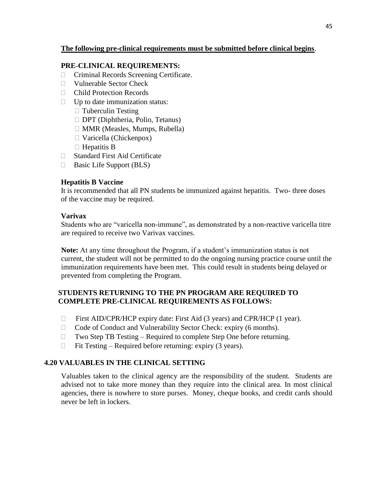#### **The following pre-clinical requirements must be submitted before clinical begins**.

#### **PRE-CLINICAL REQUIREMENTS:**

- Criminal Records Screening Certificate.
- $\neg$  Vulnerable Sector Check
- □ Child Protection Records
- $\Box$  Up to date immunization status:
	- $\Box$  Tuberculin Testing
	- DPT (Diphtheria, Polio, Tetanus)
	- $\Box$  MMR (Measles, Mumps, Rubella)
	- $\Box$  Varicella (Chickenpox)
	- $\Box$  Hepatitis B
- □ Standard First Aid Certificate
- $\Box$  Basic Life Support (BLS)

#### **Hepatitis B Vaccine**

It is recommended that all PN students be immunized against hepatitis. Two- three doses of the vaccine may be required.

#### **Varivax**

Students who are "varicella non-immune", as demonstrated by a non-reactive varicella titre are required to receive two Varivax vaccines.

**Note:** At any time throughout the Program, if a student's immunization status is not current, the student will not be permitted to do the ongoing nursing practice course until the immunization requirements have been met. This could result in students being delayed or prevented from completing the Program.

#### **STUDENTS RETURNING TO THE PN PROGRAM ARE REQUIRED TO COMPLETE PRE-CLINICAL REQUIREMENTS AS FOLLOWS:**

- $\Box$  First AID/CPR/HCP expiry date: First Aid (3 years) and CPR/HCP (1 year).
- $\Box$  Code of Conduct and Vulnerability Sector Check: expiry (6 months).
- $\Box$  Two Step TB Testing Required to complete Step One before returning.
- $\Box$  Fit Testing Required before returning: expiry (3 years).

# **4.20 VALUABLES IN THE CLINICAL SETTING**

Valuables taken to the clinical agency are the responsibility of the student. Students are advised not to take more money than they require into the clinical area. In most clinical agencies, there is nowhere to store purses. Money, cheque books, and credit cards should never be left in lockers.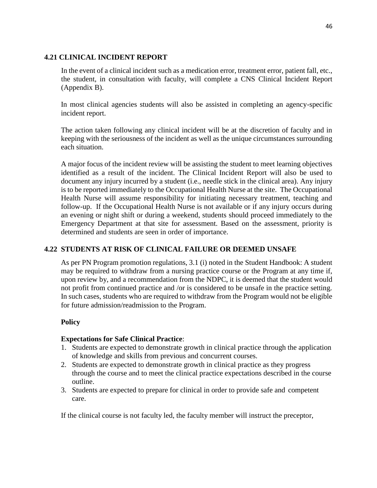#### **4.21 CLINICAL INCIDENT REPORT**

In the event of a clinical incident such as a medication error, treatment error, patient fall, etc., the student, in consultation with faculty, will complete a CNS Clinical Incident Report (Appendix B).

In most clinical agencies students will also be assisted in completing an agency-specific incident report.

The action taken following any clinical incident will be at the discretion of faculty and in keeping with the seriousness of the incident as well as the unique circumstances surrounding each situation.

A major focus of the incident review will be assisting the student to meet learning objectives identified as a result of the incident. The Clinical Incident Report will also be used to document any injury incurred by a student (i.e., needle stick in the clinical area). Any injury is to be reported immediately to the Occupational Health Nurse at the site. The Occupational Health Nurse will assume responsibility for initiating necessary treatment, teaching and follow-up. If the Occupational Health Nurse is not available or if any injury occurs during an evening or night shift or during a weekend, students should proceed immediately to the Emergency Department at that site for assessment. Based on the assessment, priority is determined and students are seen in order of importance.

# **4.22 STUDENTS AT RISK OF CLINICAL FAILURE OR DEEMED UNSAFE**

As per PN Program promotion regulations, 3.1 (i) noted in the Student Handbook: A student may be required to withdraw from a nursing practice course or the Program at any time if, upon review by, and a recommendation from the NDPC, it is deemed that the student would not profit from continued practice and /or is considered to be unsafe in the practice setting. In such cases, students who are required to withdraw from the Program would not be eligible for future admission/readmission to the Program.

# **Policy**

# **Expectations for Safe Clinical Practice**:

- 1. Students are expected to demonstrate growth in clinical practice through the application of knowledge and skills from previous and concurrent courses.
- 2. Students are expected to demonstrate growth in clinical practice as they progress through the course and to meet the clinical practice expectations described in the course outline.
- 3. Students are expected to prepare for clinical in order to provide safe and competent care.

If the clinical course is not faculty led, the faculty member will instruct the preceptor,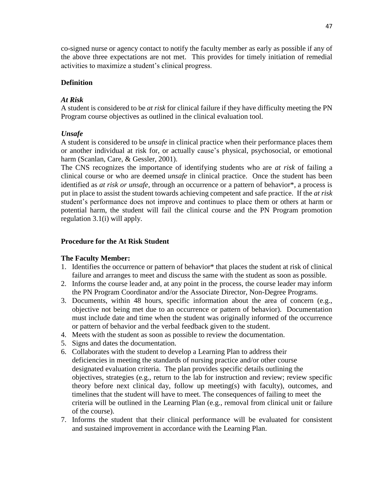co-signed nurse or agency contact to notify the faculty member as early as possible if any of the above three expectations are not met. This provides for timely initiation of remedial activities to maximize a student's clinical progress.

#### **Definition**

#### *At Risk*

A student is considered to be *at risk* for clinical failure if they have difficulty meeting the PN Program course objectives as outlined in the clinical evaluation tool.

#### *Unsafe*

A student is considered to be *unsafe* in clinical practice when their performance places them or another individual at risk for, or actually cause's physical, psychosocial, or emotional harm (Scanlan, Care, & Gessler, 2001).

The CNS recognizes the importance of identifying students who are *at risk* of failing a clinical course or who are deemed *unsafe* in clinical practice. Once the student has been identified as *at risk or unsafe*, through an occurrence or a pattern of behavior\*, a process is put in place to assist the student towards achieving competent and safe practice. If the *at risk* student's performance does not improve and continues to place them or others at harm or potential harm, the student will fail the clinical course and the PN Program promotion regulation 3.1(i) will apply.

#### **Procedure for the At Risk Student**

#### **The Faculty Member:**

- 1. Identifies the occurrence or pattern of behavior\* that places the student at risk of clinical failure and arranges to meet and discuss the same with the student as soon as possible.
- 2. Informs the course leader and, at any point in the process, the course leader may inform the PN Program Coordinator and/or the Associate Director, Non-Degree Programs.
- 3. Documents, within 48 hours, specific information about the area of concern (e.g., objective not being met due to an occurrence or pattern of behavior). Documentation must include date and time when the student was originally informed of the occurrence or pattern of behavior and the verbal feedback given to the student.
- 4. Meets with the student as soon as possible to review the documentation.
- 5. Signs and dates the documentation.
- 6. Collaborates with the student to develop a Learning Plan to address their deficiencies in meeting the standards of nursing practice and/or other course designated evaluation criteria. The plan provides specific details outlining the objectives, strategies (e.g., return to the lab for instruction and review; review specific theory before next clinical day, follow up meeting(s) with faculty), outcomes, and timelines that the student will have to meet. The consequences of failing to meet the criteria will be outlined in the Learning Plan (e.g., removal from clinical unit or failure of the course).
- 7. Informs the student that their clinical performance will be evaluated for consistent and sustained improvement in accordance with the Learning Plan.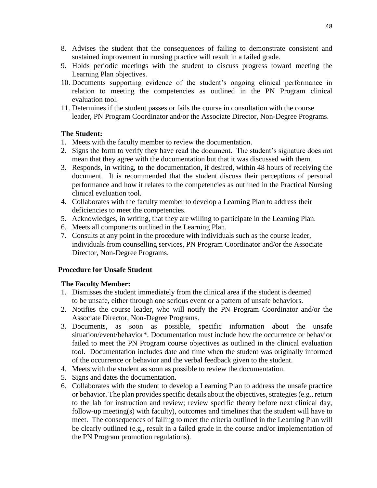- 8. Advises the student that the consequences of failing to demonstrate consistent and sustained improvement in nursing practice will result in a failed grade.
- 9. Holds periodic meetings with the student to discuss progress toward meeting the Learning Plan objectives.
- 10. Documents supporting evidence of the student's ongoing clinical performance in relation to meeting the competencies as outlined in the PN Program clinical evaluation tool.
- 11. Determines if the student passes or fails the course in consultation with the course leader, PN Program Coordinator and/or the Associate Director, Non-Degree Programs.

# **The Student:**

- 1. Meets with the faculty member to review the documentation.
- 2. Signs the form to verify they have read the document. The student's signature does not mean that they agree with the documentation but that it was discussed with them.
- 3. Responds, in writing, to the documentation, if desired, within 48 hours of receiving the document. It is recommended that the student discuss their perceptions of personal performance and how it relates to the competencies as outlined in the Practical Nursing clinical evaluation tool.
- 4. Collaborates with the faculty member to develop a Learning Plan to address their deficiencies to meet the competencies.
- 5. Acknowledges, in writing, that they are willing to participate in the Learning Plan.
- 6. Meets all components outlined in the Learning Plan.
- 7. Consults at any point in the procedure with individuals such as the course leader, individuals from counselling services, PN Program Coordinator and/or the Associate Director, Non-Degree Programs.

#### **Procedure for Unsafe Student**

#### **The Faculty Member:**

- 1. Dismisses the student immediately from the clinical area if the student is deemed to be unsafe, either through one serious event or a pattern of unsafe behaviors.
- 2. Notifies the course leader, who will notify the PN Program Coordinator and/or the Associate Director, Non-Degree Programs.
- 3. Documents, as soon as possible, specific information about the unsafe situation/event/behavior\*. Documentation must include how the occurrence or behavior failed to meet the PN Program course objectives as outlined in the clinical evaluation tool. Documentation includes date and time when the student was originally informed of the occurrence or behavior and the verbal feedback given to the student.
- 4. Meets with the student as soon as possible to review the documentation.
- 5. Signs and dates the documentation.
- 6. Collaborates with the student to develop a Learning Plan to address the unsafe practice or behavior. The plan provides specific details about the objectives, strategies (e.g., return to the lab for instruction and review; review specific theory before next clinical day, follow-up meeting(s) with faculty), outcomes and timelines that the student will have to meet. The consequences of failing to meet the criteria outlined in the Learning Plan will be clearly outlined (e.g., result in a failed grade in the course and/or implementation of the PN Program promotion regulations).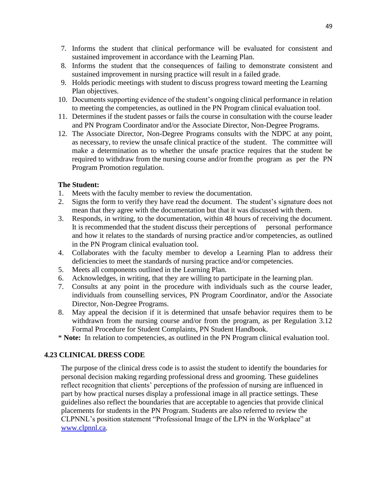- 7. Informs the student that clinical performance will be evaluated for consistent and sustained improvement in accordance with the Learning Plan.
- 8. Informs the student that the consequences of failing to demonstrate consistent and sustained improvement in nursing practice will result in a failed grade.
- 9. Holds periodic meetings with student to discuss progress toward meeting the Learning Plan objectives.
- 10. Documents supporting evidence of the student's ongoing clinical performance in relation to meeting the competencies, as outlined in the PN Program clinical evaluation tool.
- 11. Determines if the student passes or fails the course in consultation with the course leader and PN Program Coordinator and/or the Associate Director, Non-Degree Programs.
- 12. The Associate Director, Non-Degree Programs consults with the NDPC at any point, as necessary, to review the unsafe clinical practice of the student. The committee will make a determination as to whether the unsafe practice requires that the student be required to withdraw from the nursing course and/or fromthe program as per the PN Program Promotion regulation.

#### **The Student:**

- 1. Meets with the faculty member to review the documentation.
- 2. Signs the form to verify they have read the document. The student's signature does not mean that they agree with the documentation but that it was discussed with them.
- 3. Responds, in writing, to the documentation, within 48 hours of receiving the document. It is recommended that the student discuss their perceptions of personal performance and how it relates to the standards of nursing practice and/or competencies, as outlined in the PN Program clinical evaluation tool.
- 4. Collaborates with the faculty member to develop a Learning Plan to address their deficiencies to meet the standards of nursing practice and/or competencies.
- 5. Meets all components outlined in the Learning Plan.
- 6. Acknowledges, in writing, that they are willing to participate in the learning plan.
- 7. Consults at any point in the procedure with individuals such as the course leader, individuals from counselling services, PN Program Coordinator, and/or the Associate Director, Non-Degree Programs.
- 8. May appeal the decision if it is determined that unsafe behavior requires them to be withdrawn from the nursing course and/or from the program, as per Regulation 3.12 Formal Procedure for Student Complaints, PN Student Handbook.
- \* **Note:** In relation to competencies, as outlined in the PN Program clinical evaluation tool.

# **4.23 CLINICAL DRESS CODE**

The purpose of the clinical dress code is to assist the student to identify the boundaries for personal decision making regarding professional dress and grooming. These guidelines reflect recognition that clients' perceptions of the profession of nursing are influenced in part by how practical nurses display a professional image in all practice settings. These guidelines also reflect the boundaries that are acceptable to agencies that provide clinical placements for students in the PN Program. Students are also referred to review the CLPNNL's position statement "Professional Image of the LPN in the Workplace" at [www.clpnnl.ca.](http://www.clpnnl.ca/)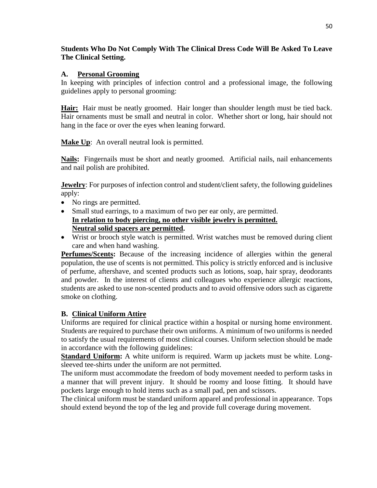#### **Students Who Do Not Comply With The Clinical Dress Code Will Be Asked To Leave The Clinical Setting.**

#### **A. Personal Grooming**

In keeping with principles of infection control and a professional image, the following guidelines apply to personal grooming:

**Hair:** Hair must be neatly groomed. Hair longer than shoulder length must be tied back. Hair ornaments must be small and neutral in color. Whether short or long, hair should not hang in the face or over the eyes when leaning forward.

**Make Up**: An overall neutral look is permitted.

**Nails:** Fingernails must be short and neatly groomed. Artificial nails, nail enhancements and nail polish are prohibited.

**Jewelry**: For purposes of infection control and student/client safety, the following guidelines apply:

- No rings are permitted.
- Small stud earrings, to a maximum of two per ear only, are permitted. **In relation to body piercing, no other visible jewelry is permitted. Neutral solid spacers are permitted.**
- Wrist or brooch style watch is permitted. Wrist watches must be removed during client care and when hand washing.

**Perfumes/Scents:** Because of the increasing incidence of allergies within the general population, the use of scents is not permitted. This policy is strictly enforced and is inclusive of perfume, aftershave, and scented products such as lotions, soap, hair spray, deodorants and powder. In the interest of clients and colleagues who experience allergic reactions, students are asked to use non-scented products and to avoid offensive odors such as cigarette smoke on clothing.

# **B. Clinical Uniform Attire**

Uniforms are required for clinical practice within a hospital or nursing home environment. Students are required to purchase their own uniforms. A minimum of two uniforms is needed to satisfy the usual requirements of most clinical courses. Uniform selection should be made in accordance with the following guidelines:

**Standard Uniform:** A white uniform is required. Warm up jackets must be white. Longsleeved tee-shirts under the uniform are not permitted.

The uniform must accommodate the freedom of body movement needed to perform tasks in a manner that will prevent injury. It should be roomy and loose fitting. It should have pockets large enough to hold items such as a small pad, pen and scissors.

The clinical uniform must be standard uniform apparel and professional in appearance. Tops should extend beyond the top of the leg and provide full coverage during movement.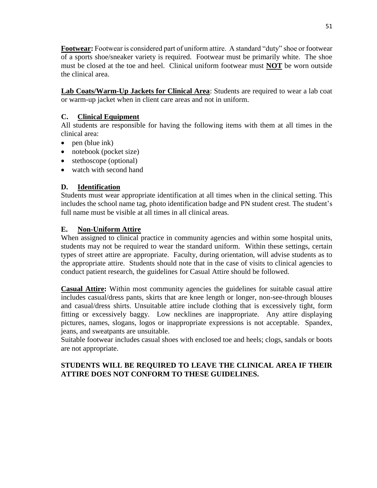**Footwear:** Footwear is considered part of uniform attire. A standard "duty" shoe or footwear of a sports shoe/sneaker variety is required. Footwear must be primarily white. The shoe must be closed at the toe and heel. Clinical uniform footwear must **NOT** be worn outside the clinical area.

**Lab Coats/Warm-Up Jackets for Clinical Area**: Students are required to wear a lab coat or warm-up jacket when in client care areas and not in uniform.

# **C. Clinical Equipment**

All students are responsible for having the following items with them at all times in the clinical area:

- $\bullet$  pen (blue ink)
- notebook (pocket size)
- stethoscope (optional)
- watch with second hand

# **D. Identification**

Students must wear appropriate identification at all times when in the clinical setting. This includes the school name tag, photo identification badge and PN student crest. The student's full name must be visible at all times in all clinical areas.

# **E. Non-Uniform Attire**

When assigned to clinical practice in community agencies and within some hospital units, students may not be required to wear the standard uniform. Within these settings, certain types of street attire are appropriate. Faculty, during orientation, will advise students as to the appropriate attire. Students should note that in the case of visits to clinical agencies to conduct patient research, the guidelines for Casual Attire should be followed.

**Casual Attire:** Within most community agencies the guidelines for suitable casual attire includes casual/dress pants, skirts that are knee length or longer, non-see-through blouses and casual/dress shirts. Unsuitable attire include clothing that is excessively tight, form fitting or excessively baggy. Low necklines are inappropriate. Any attire displaying pictures, names, slogans, logos or inappropriate expressions is not acceptable. Spandex, jeans, and sweatpants are unsuitable.

Suitable footwear includes casual shoes with enclosed toe and heels; clogs, sandals or boots are not appropriate.

# **STUDENTS WILL BE REQUIRED TO LEAVE THE CLINICAL AREA IF THEIR ATTIRE DOES NOT CONFORM TO THESE GUIDELINES.**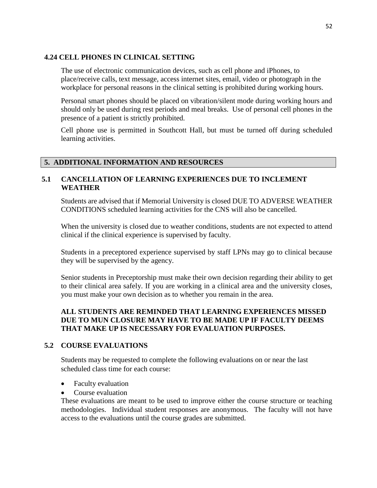#### **4.24 CELL PHONES IN CLINICAL SETTING**

The use of electronic communication devices, such as cell phone and iPhones, to place/receive calls, text message, access internet sites, email, video or photograph in the workplace for personal reasons in the clinical setting is prohibited during working hours.

Personal smart phones should be placed on vibration/silent mode during working hours and should only be used during rest periods and meal breaks. Use of personal cell phones in the presence of a patient is strictly prohibited.

Cell phone use is permitted in Southcott Hall, but must be turned off during scheduled learning activities.

# **5. ADDITIONAL INFORMATION AND RESOURCES**

#### **5.1 CANCELLATION OF LEARNING EXPERIENCES DUE TO INCLEMENT WEATHER**

Students are advised that if Memorial University is closed DUE TO ADVERSE WEATHER CONDITIONS scheduled learning activities for the CNS will also be cancelled.

When the university is closed due to weather conditions, students are not expected to attend clinical if the clinical experience is supervised by faculty.

Students in a preceptored experience supervised by staff LPNs may go to clinical because they will be supervised by the agency.

Senior students in Preceptorship must make their own decision regarding their ability to get to their clinical area safely. If you are working in a clinical area and the university closes, you must make your own decision as to whether you remain in the area.

# **ALL STUDENTS ARE REMINDED THAT LEARNING EXPERIENCES MISSED DUE TO MUN CLOSURE MAY HAVE TO BE MADE UP IF FACULTY DEEMS THAT MAKE UP IS NECESSARY FOR EVALUATION PURPOSES.**

#### **5.2 COURSE EVALUATIONS**

Students may be requested to complete the following evaluations on or near the last scheduled class time for each course:

- Faculty evaluation
- Course evaluation

These evaluations are meant to be used to improve either the course structure or teaching methodologies. Individual student responses are anonymous. The faculty will not have access to the evaluations until the course grades are submitted.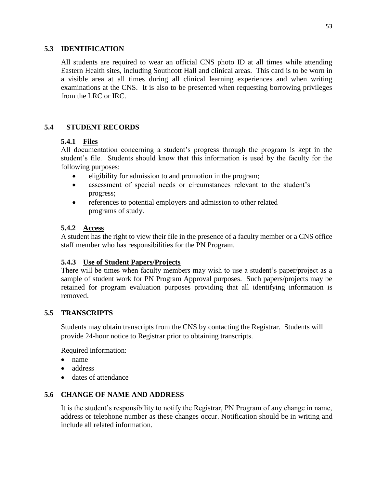#### **5.3 IDENTIFICATION**

All students are required to wear an official CNS photo ID at all times while attending Eastern Health sites, including Southcott Hall and clinical areas. This card is to be worn in a visible area at all times during all clinical learning experiences and when writing examinations at the CNS. It is also to be presented when requesting borrowing privileges from the LRC or IRC.

# **5.4 STUDENT RECORDS**

#### **5.4.1 Files**

All documentation concerning a student's progress through the program is kept in the student's file. Students should know that this information is used by the faculty for the following purposes:

- eligibility for admission to and promotion in the program;
- assessment of special needs or circumstances relevant to the student's progress;
- references to potential employers and admission to other related programs of study.

#### **5.4.2 Access**

A student has the right to view their file in the presence of a faculty member or a CNS office staff member who has responsibilities for the PN Program.

# **5.4.3 Use of Student Papers/Projects**

There will be times when faculty members may wish to use a student's paper/project as a sample of student work for PN Program Approval purposes. Such papers/projects may be retained for program evaluation purposes providing that all identifying information is removed.

# **5.5 TRANSCRIPTS**

Students may obtain transcripts from the CNS by contacting the Registrar. Students will provide 24-hour notice to Registrar prior to obtaining transcripts.

Required information:

- name
- address
- dates of attendance

# **5.6 CHANGE OF NAME AND ADDRESS**

It is the student's responsibility to notify the Registrar, PN Program of any change in name, address or telephone number as these changes occur. Notification should be in writing and include all related information.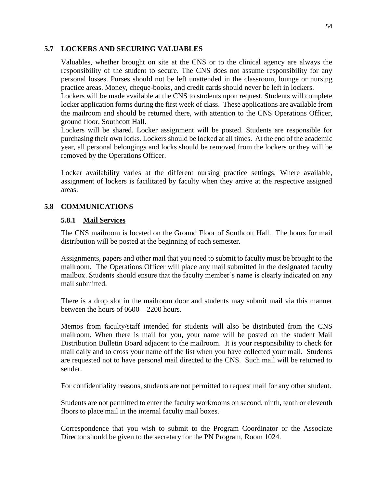#### **5.7 LOCKERS AND SECURING VALUABLES**

Valuables, whether brought on site at the CNS or to the clinical agency are always the responsibility of the student to secure. The CNS does not assume responsibility for any personal losses. Purses should not be left unattended in the classroom, lounge or nursing practice areas. Money, cheque-books, and credit cards should never be left in lockers.

Lockers will be made available at the CNS to students upon request. Students will complete locker application forms during the first week of class. These applications are available from the mailroom and should be returned there, with attention to the CNS Operations Officer, ground floor, Southcott Hall.

Lockers will be shared. Locker assignment will be posted. Students are responsible for purchasing their own locks. Lockers should be locked at all times. At the end of the academic year, all personal belongings and locks should be removed from the lockers or they will be removed by the Operations Officer.

Locker availability varies at the different nursing practice settings. Where available, assignment of lockers is facilitated by faculty when they arrive at the respective assigned areas.

#### **5.8 COMMUNICATIONS**

#### **5.8.1 Mail Services**

The CNS mailroom is located on the Ground Floor of Southcott Hall. The hours for mail distribution will be posted at the beginning of each semester.

Assignments, papers and other mail that you need to submit to faculty must be brought to the mailroom. The Operations Officer will place any mail submitted in the designated faculty mailbox. Students should ensure that the faculty member's name is clearly indicated on any mail submitted.

There is a drop slot in the mailroom door and students may submit mail via this manner between the hours of 0600 – 2200 hours.

Memos from faculty/staff intended for students will also be distributed from the CNS mailroom. When there is mail for you, your name will be posted on the student Mail Distribution Bulletin Board adjacent to the mailroom. It is your responsibility to check for mail daily and to cross your name off the list when you have collected your mail. Students are requested not to have personal mail directed to the CNS. Such mail will be returned to sender.

For confidentiality reasons, students are not permitted to request mail for any other student.

Students are not permitted to enter the faculty workrooms on second, ninth, tenth or eleventh floors to place mail in the internal faculty mail boxes.

Correspondence that you wish to submit to the Program Coordinator or the Associate Director should be given to the secretary for the PN Program, Room 1024.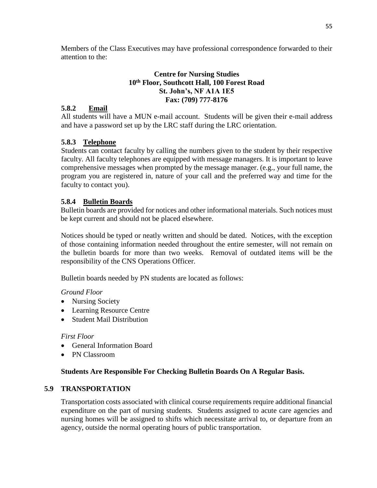Members of the Class Executives may have professional correspondence forwarded to their attention to the:

#### **Centre for Nursing Studies 10th Floor, Southcott Hall, 100 Forest Road St. John's, NF A1A 1E5 Fax: (709) 777-8176**

# **5.8.2 Email**

All students will have a MUN e-mail account. Students will be given their e-mail address and have a password set up by the LRC staff during the LRC orientation.

# **5.8.3 Telephone**

Students can contact faculty by calling the numbers given to the student by their respective faculty. All faculty telephones are equipped with message managers. It is important to leave comprehensive messages when prompted by the message manager. (e.g., your full name, the program you are registered in, nature of your call and the preferred way and time for the faculty to contact you).

# **5.8.4 Bulletin Boards**

Bulletin boards are provided for notices and other informational materials. Such notices must be kept current and should not be placed elsewhere.

Notices should be typed or neatly written and should be dated. Notices, with the exception of those containing information needed throughout the entire semester, will not remain on the bulletin boards for more than two weeks. Removal of outdated items will be the responsibility of the CNS Operations Officer.

Bulletin boards needed by PN students are located as follows:

# *Ground Floor*

- Nursing Society
- Learning Resource Centre
- Student Mail Distribution

# *First Floor*

- General Information Board
- PN Classroom

# **Students Are Responsible For Checking Bulletin Boards On A Regular Basis.**

# **5.9 TRANSPORTATION**

Transportation costs associated with clinical course requirements require additional financial expenditure on the part of nursing students. Students assigned to acute care agencies and nursing homes will be assigned to shifts which necessitate arrival to, or departure from an agency, outside the normal operating hours of public transportation.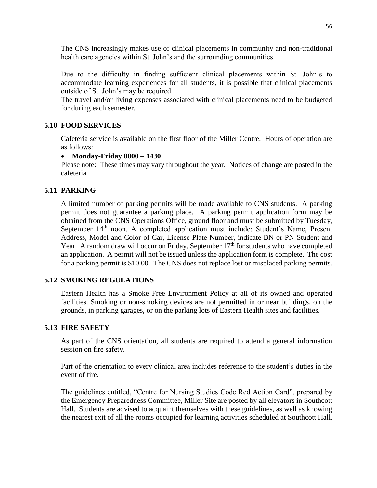The CNS increasingly makes use of clinical placements in community and non-traditional health care agencies within St. John's and the surrounding communities.

Due to the difficulty in finding sufficient clinical placements within St. John's to accommodate learning experiences for all students, it is possible that clinical placements outside of St. John's may be required.

The travel and/or living expenses associated with clinical placements need to be budgeted for during each semester.

# **5.10 FOOD SERVICES**

Cafeteria service is available on the first floor of the Miller Centre. Hours of operation are as follows:

# **Monday-Friday 0800 – 1430**

Please note: These times may vary throughout the year. Notices of change are posted in the cafeteria.

# **5.11 PARKING**

A limited number of parking permits will be made available to CNS students. A parking permit does not guarantee a parking place. A parking permit application form may be obtained from the CNS Operations Office, ground floor and must be submitted by Tuesday, September 14<sup>th</sup> noon. A completed application must include: Student's Name, Present Address, Model and Color of Car, License Plate Number, indicate BN or PN Student and Year. A random draw will occur on Friday, September 17<sup>th</sup> for students who have completed an application. A permit will not be issued unless the application form is complete. The cost for a parking permit is \$10.00. The CNS does not replace lost or misplaced parking permits.

# **5.12 SMOKING REGULATIONS**

Eastern Health has a Smoke Free Environment Policy at all of its owned and operated facilities. Smoking or non-smoking devices are not permitted in or near buildings, on the grounds, in parking garages, or on the parking lots of Eastern Health sites and facilities.

# **5.13 FIRE SAFETY**

As part of the CNS orientation, all students are required to attend a general information session on fire safety.

Part of the orientation to every clinical area includes reference to the student's duties in the event of fire.

The guidelines entitled, "Centre for Nursing Studies Code Red Action Card", prepared by the Emergency Preparedness Committee, Miller Site are posted by all elevators in Southcott Hall. Students are advised to acquaint themselves with these guidelines, as well as knowing the nearest exit of all the rooms occupied for learning activities scheduled at Southcott Hall.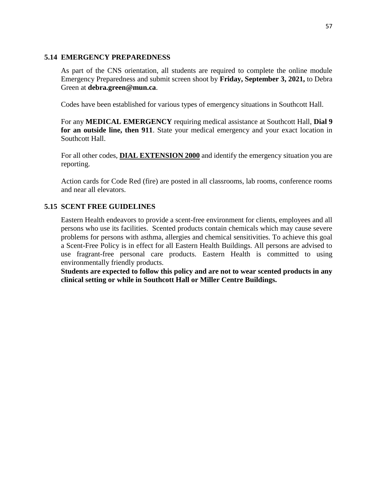#### **5.14 EMERGENCY PREPAREDNESS**

As part of the CNS orientation, all students are required to complete the online module Emergency Preparedness and submit screen shoot by **Friday, September 3, 2021,** to Debra Green at **debra.green@mun.ca**.

Codes have been established for various types of emergency situations in Southcott Hall.

For any **MEDICAL EMERGENCY** requiring medical assistance at Southcott Hall, **Dial 9 for an outside line, then 911**. State your medical emergency and your exact location in Southcott Hall.

For all other codes, **DIAL EXTENSION 2000** and identify the emergency situation you are reporting.

Action cards for Code Red (fire) are posted in all classrooms, lab rooms, conference rooms and near all elevators.

#### **5.15 SCENT FREE GUIDELINES**

Eastern Health endeavors to provide a scent-free environment for clients, employees and all persons who use its facilities. Scented products contain chemicals which may cause severe problems for persons with asthma, allergies and chemical sensitivities. To achieve this goal a Scent-Free Policy is in effect for all Eastern Health Buildings. All persons are advised to use fragrant-free personal care products. Eastern Health is committed to using environmentally friendly products.

**Students are expected to follow this policy and are not to wear scented products in any clinical setting or while in Southcott Hall or Miller Centre Buildings.**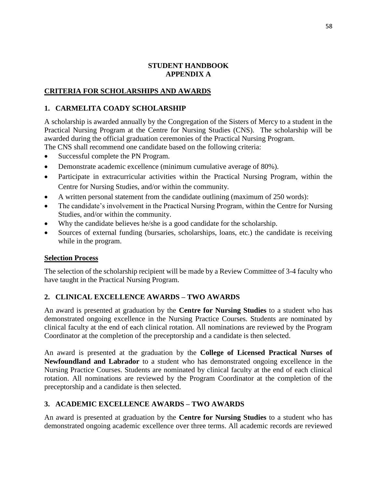#### **STUDENT HANDBOOK APPENDIX A**

#### **CRITERIA FOR SCHOLARSHIPS AND AWARDS**

#### **1. CARMELITA COADY SCHOLARSHIP**

A scholarship is awarded annually by the Congregation of the Sisters of Mercy to a student in the Practical Nursing Program at the Centre for Nursing Studies (CNS). The scholarship will be awarded during the official graduation ceremonies of the Practical Nursing Program.

The CNS shall recommend one candidate based on the following criteria:

- Successful complete the PN Program.
- Demonstrate academic excellence (minimum cumulative average of 80%).
- Participate in extracurricular activities within the Practical Nursing Program, within the Centre for Nursing Studies, and/or within the community.
- A written personal statement from the candidate outlining (maximum of 250 words):
- The candidate's involvement in the Practical Nursing Program, within the Centre for Nursing Studies, and/or within the community.
- Why the candidate believes he/she is a good candidate for the scholarship.
- Sources of external funding (bursaries, scholarships, loans, etc.) the candidate is receiving while in the program.

#### **Selection Process**

The selection of the scholarship recipient will be made by a Review Committee of 3-4 faculty who have taught in the Practical Nursing Program.

# **2. CLINICAL EXCELLENCE AWARDS – TWO AWARDS**

An award is presented at graduation by the **Centre for Nursing Studies** to a student who has demonstrated ongoing excellence in the Nursing Practice Courses. Students are nominated by clinical faculty at the end of each clinical rotation. All nominations are reviewed by the Program Coordinator at the completion of the preceptorship and a candidate is then selected.

An award is presented at the graduation by the **College of Licensed Practical Nurses of Newfoundland and Labrador** to a student who has demonstrated ongoing excellence in the Nursing Practice Courses. Students are nominated by clinical faculty at the end of each clinical rotation. All nominations are reviewed by the Program Coordinator at the completion of the preceptorship and a candidate is then selected.

# **3. ACADEMIC EXCELLENCE AWARDS – TWO AWARDS**

An award is presented at graduation by the **Centre for Nursing Studies** to a student who has demonstrated ongoing academic excellence over three terms. All academic records are reviewed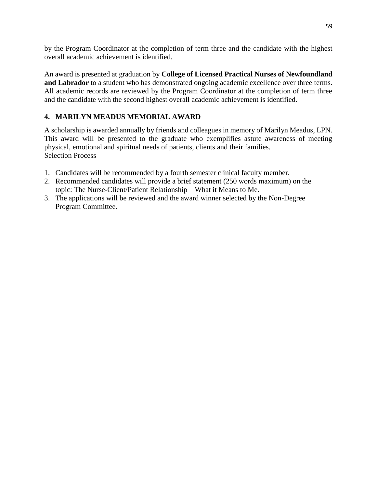by the Program Coordinator at the completion of term three and the candidate with the highest overall academic achievement is identified.

An award is presented at graduation by **College of Licensed Practical Nurses of Newfoundland and Labrador** to a student who has demonstrated ongoing academic excellence over three terms. All academic records are reviewed by the Program Coordinator at the completion of term three and the candidate with the second highest overall academic achievement is identified.

# **4. MARILYN MEADUS MEMORIAL AWARD**

A scholarship is awarded annually by friends and colleagues in memory of Marilyn Meadus, LPN. This award will be presented to the graduate who exemplifies astute awareness of meeting physical, emotional and spiritual needs of patients, clients and their families. Selection Process

- 1. Candidates will be recommended by a fourth semester clinical faculty member.
- 2. Recommended candidates will provide a brief statement (250 words maximum) on the topic: The Nurse-Client/Patient Relationship – What it Means to Me.
- 3. The applications will be reviewed and the award winner selected by the Non-Degree Program Committee.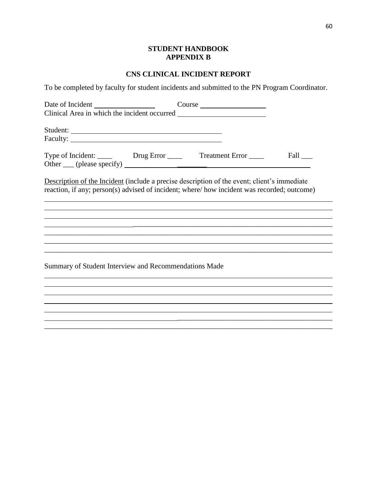# **STUDENT HANDBOOK APPENDIX B**

# **CNS CLINICAL INCIDENT REPORT**

To be completed by faculty for student incidents and submitted to the PN Program Coordinator.

|                                                                                                                                                                                           | Course |      |
|-------------------------------------------------------------------------------------------------------------------------------------------------------------------------------------------|--------|------|
|                                                                                                                                                                                           |        |      |
| Student:                                                                                                                                                                                  |        |      |
|                                                                                                                                                                                           |        |      |
| Type of Incident: ______ Drug Error _____ Treatment Error ____                                                                                                                            |        | Fall |
|                                                                                                                                                                                           |        |      |
| Description of the Incident (include a precise description of the event; client's immediate<br>reaction, if any; person(s) advised of incident; where/how incident was recorded; outcome) |        |      |
|                                                                                                                                                                                           |        |      |
|                                                                                                                                                                                           |        |      |
|                                                                                                                                                                                           |        |      |
|                                                                                                                                                                                           |        |      |
| Summary of Student Interview and Recommendations Made                                                                                                                                     |        |      |
|                                                                                                                                                                                           |        |      |
|                                                                                                                                                                                           |        |      |
|                                                                                                                                                                                           |        |      |
|                                                                                                                                                                                           |        |      |
|                                                                                                                                                                                           |        |      |

 $\overline{\phantom{a}}$ L,

÷,  $\overline{\phantom{0}}$  $\overline{\phantom{a}}$ L,